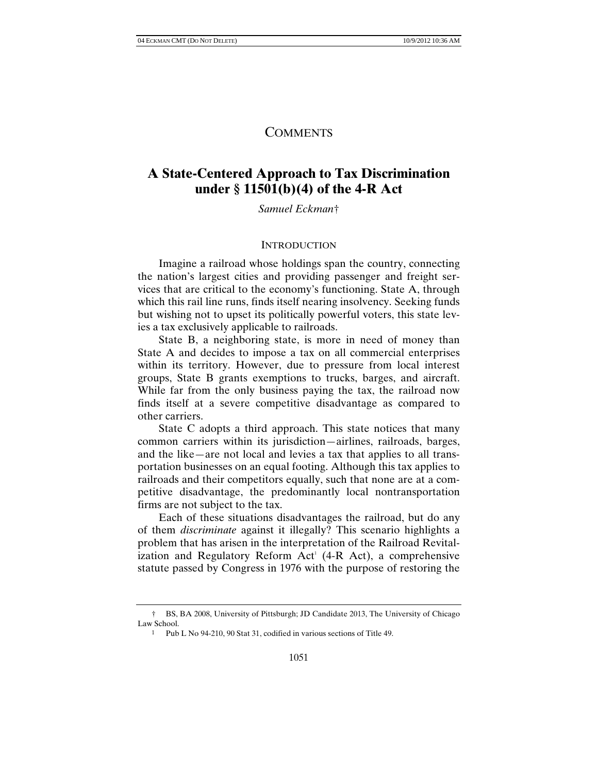# **COMMENTS**

# **A State-Centered Approach to Tax Discrimination under § 11501(b)(4) of the 4-R Act**

*Samuel Eckman*†

#### **INTRODUCTION**

Imagine a railroad whose holdings span the country, connecting the nation's largest cities and providing passenger and freight services that are critical to the economy's functioning. State A, through which this rail line runs, finds itself nearing insolvency. Seeking funds but wishing not to upset its politically powerful voters, this state levies a tax exclusively applicable to railroads.

State B, a neighboring state, is more in need of money than State A and decides to impose a tax on all commercial enterprises within its territory. However, due to pressure from local interest groups, State B grants exemptions to trucks, barges, and aircraft. While far from the only business paying the tax, the railroad now finds itself at a severe competitive disadvantage as compared to other carriers.

State C adopts a third approach. This state notices that many common carriers within its jurisdiction—airlines, railroads, barges, and the like—are not local and levies a tax that applies to all transportation businesses on an equal footing. Although this tax applies to railroads and their competitors equally, such that none are at a competitive disadvantage, the predominantly local nontransportation firms are not subject to the tax.

Each of these situations disadvantages the railroad, but do any of them *discriminate* against it illegally? This scenario highlights a problem that has arisen in the interpretation of the Railroad Revitalization and Regulatory Reform  $Act^T(4-R \, Act)$ , a comprehensive statute passed by Congress in 1976 with the purpose of restoring the

 <sup>†</sup> BS, BA 2008, University of Pittsburgh; JD Candidate 2013, The University of Chicago Law School.

<sup>1</sup> Pub L No 94-210, 90 Stat 31, codified in various sections of Title 49.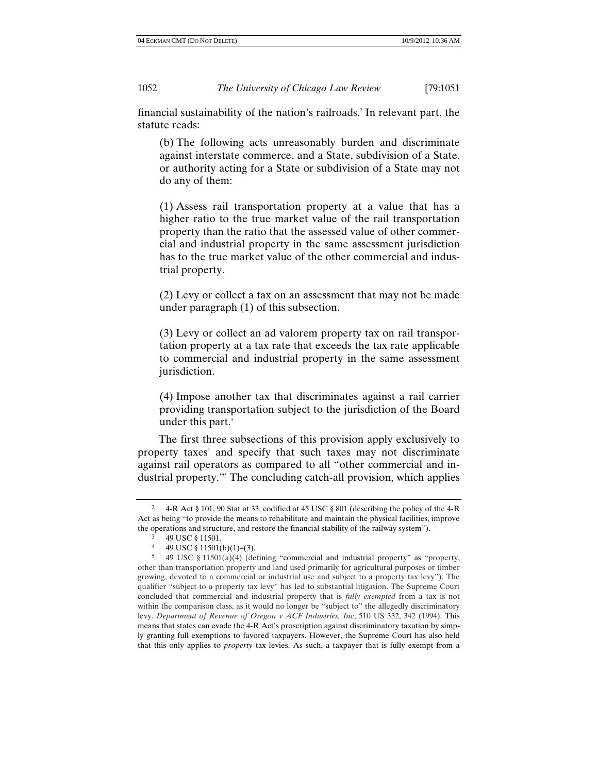financial sustainability of the nation's railroads.<sup>2</sup> In relevant part, the statute reads:

(b) The following acts unreasonably burden and discriminate against interstate commerce, and a State, subdivision of a State, or authority acting for a State or subdivision of a State may not do any of them:

(1) Assess rail transportation property at a value that has a higher ratio to the true market value of the rail transportation property than the ratio that the assessed value of other commercial and industrial property in the same assessment jurisdiction has to the true market value of the other commercial and industrial property.

(2) Levy or collect a tax on an assessment that may not be made under paragraph (1) of this subsection.

(3) Levy or collect an ad valorem property tax on rail transportation property at a tax rate that exceeds the tax rate applicable to commercial and industrial property in the same assessment jurisdiction.

(4) Impose another tax that discriminates against a rail carrier providing transportation subject to the jurisdiction of the Board under this part. 3

The first three subsections of this provision apply exclusively to property taxes<sup>4</sup> and specify that such taxes may not discriminate against rail operators as compared to all "other commercial and industrial property."5 The concluding catch-all provision, which applies

<sup>2 4-</sup>R Act § 101, 90 Stat at 33, codified at 45 USC § 801 (describing the policy of the 4-R Act as being "to provide the means to rehabilitate and maintain the physical facilities, improve the operations and structure, and restore the financial stability of the railway system").

<sup>3 49</sup> USC § 11501.

<sup>4 49</sup> USC § 11501(b)(1)–(3).<br>5 49 USC § 11501(a)(4) (de

<sup>5</sup> 49 USC § 11501(a)(4) (defining "commercial and industrial property" as "property, other than transportation property and land used primarily for agricultural purposes or timber growing, devoted to a commercial or industrial use and subject to a property tax levy"). The qualifier "subject to a property tax levy" has led to substantial litigation. The Supreme Court concluded that commercial and industrial property that is *fully exempted* from a tax is not within the comparison class, as it would no longer be "subject to" the allegedly discriminatory levy. *Department of Revenue of Oregon v ACF Industries, Inc*, 510 US 332, 342 (1994). This means that states can evade the 4-R Act's proscription against discriminatory taxation by simply granting full exemptions to favored taxpayers. However, the Supreme Court has also held that this only applies to *property* tax levies. As such, a taxpayer that is fully exempt from a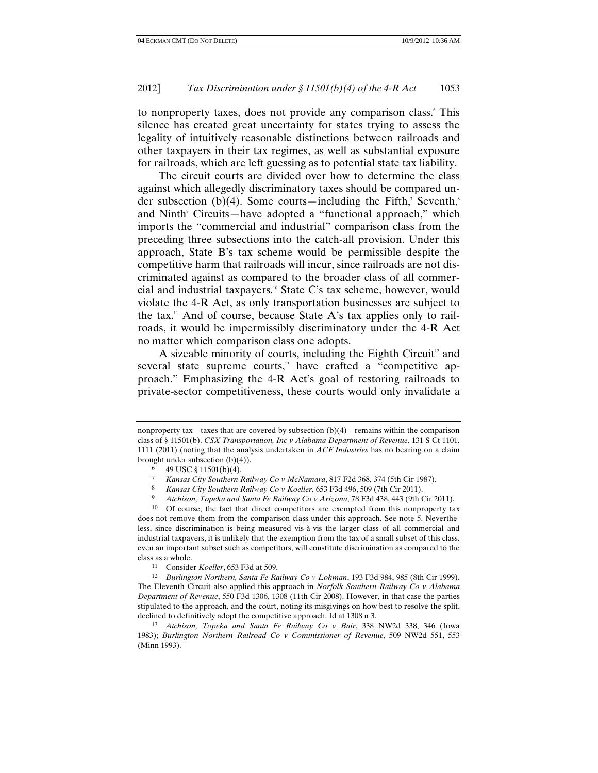to nonproperty taxes, does not provide any comparison class. This silence has created great uncertainty for states trying to assess the legality of intuitively reasonable distinctions between railroads and other taxpayers in their tax regimes, as well as substantial exposure for railroads, which are left guessing as to potential state tax liability.

The circuit courts are divided over how to determine the class against which allegedly discriminatory taxes should be compared under subsection  $(b)(4)$ . Some courts—including the Fifth,<sup>7</sup> Seventh,<sup>8</sup> and Ninth<sup>9</sup> Circuits—have adopted a "functional approach," which imports the "commercial and industrial" comparison class from the preceding three subsections into the catch-all provision. Under this approach, State B's tax scheme would be permissible despite the competitive harm that railroads will incur, since railroads are not discriminated against as compared to the broader class of all commercial and industrial taxpayers.<sup>10</sup> State C's tax scheme, however, would violate the 4-R Act, as only transportation businesses are subject to the tax.<sup>11</sup> And of course, because State A's tax applies only to railroads, it would be impermissibly discriminatory under the 4-R Act no matter which comparison class one adopts.

A sizeable minority of courts, including the Eighth Circuit<sup>12</sup> and several state supreme courts,<sup>13</sup> have crafted a "competitive approach." Emphasizing the 4-R Act's goal of restoring railroads to private-sector competitiveness, these courts would only invalidate a

nonproperty tax—taxes that are covered by subsection  $(b)(4)$ —remains within the comparison class of § 11501(b). *CSX Transportation, Inc v Alabama Department of Revenue*, 131 S Ct 1101, 1111 (2011) (noting that the analysis undertaken in *ACF Industries* has no bearing on a claim brought under subsection (b)(4)).

<sup>6 49</sup> USC  $\frac{1501(b)(4)}{2}$ .

<sup>7</sup> *Kansas City Southern Railway Co v McNamara*, 817 F2d 368, 374 (5th Cir 1987).

<sup>8</sup> *Kansas City Southern Railway Co v Koeller*, 653 F3d 496, 509 (7th Cir 2011).

<sup>9</sup> *Atchison, Topeka and Santa Fe Railway Co v Arizona*, 78 F3d 438, 443 (9th Cir 2011).

<sup>10</sup> Of course, the fact that direct competitors are exempted from this nonproperty tax does not remove them from the comparison class under this approach. See note 5. Nevertheless, since discrimination is being measured vis-à-vis the larger class of all commercial and industrial taxpayers, it is unlikely that the exemption from the tax of a small subset of this class, even an important subset such as competitors, will constitute discrimination as compared to the class as a whole.

<sup>11</sup> Consider *Koeller*, 653 F3d at 509.

<sup>12</sup> *Burlington Northern, Santa Fe Railway Co v Lohman*, 193 F3d 984, 985 (8th Cir 1999). The Eleventh Circuit also applied this approach in *Norfolk Southern Railway Co v Alabama Department of Revenue*, 550 F3d 1306, 1308 (11th Cir 2008). However, in that case the parties stipulated to the approach, and the court, noting its misgivings on how best to resolve the split, declined to definitively adopt the competitive approach. Id at 1308 n 3.

<sup>13</sup> *Atchison, Topeka and Santa Fe Railway Co v Bair*, 338 NW2d 338, 346 (Iowa 1983); *Burlington Northern Railroad Co v Commissioner of Revenue*, 509 NW2d 551, 553 (Minn 1993).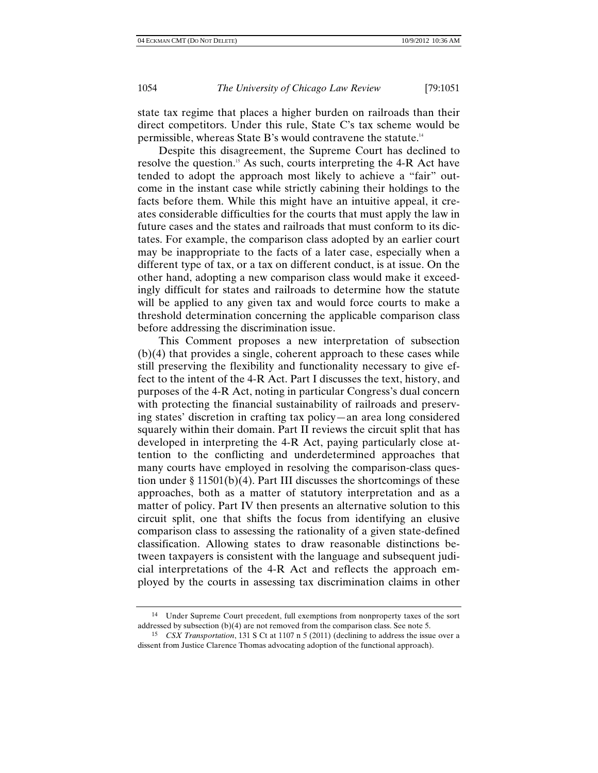state tax regime that places a higher burden on railroads than their direct competitors. Under this rule, State C's tax scheme would be permissible, whereas State B's would contravene the statute.14

Despite this disagreement, the Supreme Court has declined to resolve the question.<sup>15</sup> As such, courts interpreting the 4-R Act have tended to adopt the approach most likely to achieve a "fair" outcome in the instant case while strictly cabining their holdings to the facts before them. While this might have an intuitive appeal, it creates considerable difficulties for the courts that must apply the law in future cases and the states and railroads that must conform to its dictates. For example, the comparison class adopted by an earlier court may be inappropriate to the facts of a later case, especially when a different type of tax, or a tax on different conduct, is at issue. On the other hand, adopting a new comparison class would make it exceedingly difficult for states and railroads to determine how the statute will be applied to any given tax and would force courts to make a threshold determination concerning the applicable comparison class before addressing the discrimination issue.

This Comment proposes a new interpretation of subsection (b)(4) that provides a single, coherent approach to these cases while still preserving the flexibility and functionality necessary to give effect to the intent of the 4-R Act. Part I discusses the text, history, and purposes of the 4-R Act, noting in particular Congress's dual concern with protecting the financial sustainability of railroads and preserving states' discretion in crafting tax policy—an area long considered squarely within their domain. Part II reviews the circuit split that has developed in interpreting the 4-R Act, paying particularly close attention to the conflicting and underdetermined approaches that many courts have employed in resolving the comparison-class question under § 11501(b)(4). Part III discusses the shortcomings of these approaches, both as a matter of statutory interpretation and as a matter of policy. Part IV then presents an alternative solution to this circuit split, one that shifts the focus from identifying an elusive comparison class to assessing the rationality of a given state-defined classification. Allowing states to draw reasonable distinctions between taxpayers is consistent with the language and subsequent judicial interpretations of the 4-R Act and reflects the approach employed by the courts in assessing tax discrimination claims in other

<sup>14</sup> Under Supreme Court precedent, full exemptions from nonproperty taxes of the sort addressed by subsection (b)(4) are not removed from the comparison class. See note 5.

<sup>15</sup> *CSX Transportation*, 131 S Ct at 1107 n 5 (2011) (declining to address the issue over a dissent from Justice Clarence Thomas advocating adoption of the functional approach).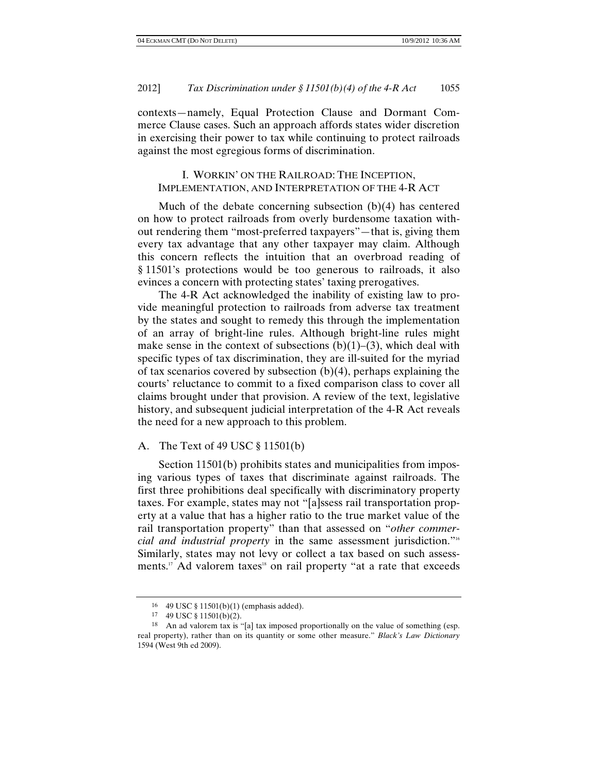contexts—namely, Equal Protection Clause and Dormant Commerce Clause cases. Such an approach affords states wider discretion in exercising their power to tax while continuing to protect railroads against the most egregious forms of discrimination.

# I. WORKIN' ON THE RAILROAD: THE INCEPTION, IMPLEMENTATION, AND INTERPRETATION OF THE 4-R ACT

Much of the debate concerning subsection (b)(4) has centered on how to protect railroads from overly burdensome taxation without rendering them "most-preferred taxpayers"—that is, giving them every tax advantage that any other taxpayer may claim. Although this concern reflects the intuition that an overbroad reading of § 11501's protections would be too generous to railroads, it also evinces a concern with protecting states' taxing prerogatives.

The 4-R Act acknowledged the inability of existing law to provide meaningful protection to railroads from adverse tax treatment by the states and sought to remedy this through the implementation of an array of bright-line rules. Although bright-line rules might make sense in the context of subsections  $(b)(1)$ – $(3)$ , which deal with specific types of tax discrimination, they are ill-suited for the myriad of tax scenarios covered by subsection  $(b)(4)$ , perhaps explaining the courts' reluctance to commit to a fixed comparison class to cover all claims brought under that provision. A review of the text, legislative history, and subsequent judicial interpretation of the 4-R Act reveals the need for a new approach to this problem.

#### A. The Text of 49 USC § 11501(b)

Section 11501(b) prohibits states and municipalities from imposing various types of taxes that discriminate against railroads. The first three prohibitions deal specifically with discriminatory property taxes. For example, states may not "[a]ssess rail transportation property at a value that has a higher ratio to the true market value of the rail transportation property" than that assessed on "*other commercial and industrial property* in the same assessment jurisdiction."16 Similarly, states may not levy or collect a tax based on such assessments.<sup>17</sup> Ad valorem taxes<sup>18</sup> on rail property "at a rate that exceeds

<sup>16 49</sup> USC § 11501(b)(1) (emphasis added).

<sup>17 49</sup> USC § 11501(b)(2).

<sup>18</sup> An ad valorem tax is "[a] tax imposed proportionally on the value of something (esp. real property), rather than on its quantity or some other measure." *Black's Law Dictionary* 1594 (West 9th ed 2009).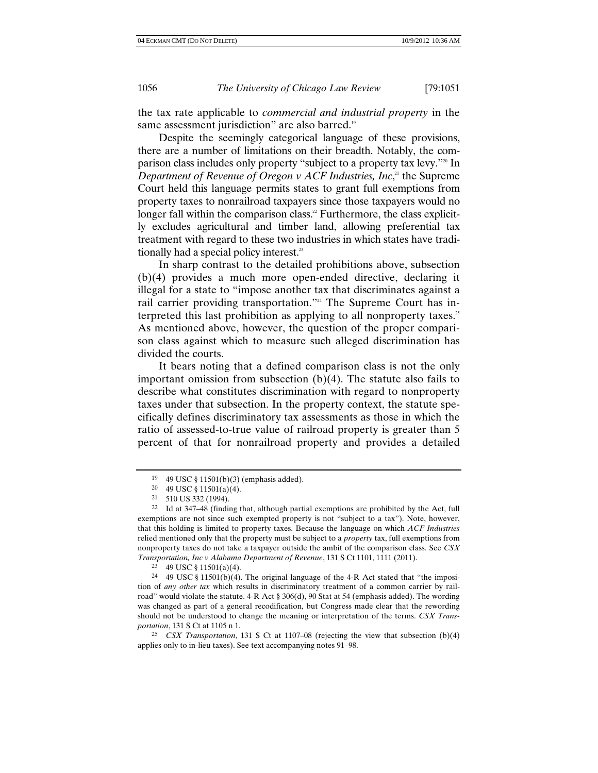the tax rate applicable to *commercial and industrial property* in the same assessment jurisdiction" are also barred.<sup>19</sup>

Despite the seemingly categorical language of these provisions, there are a number of limitations on their breadth. Notably, the comparison class includes only property "subject to a property tax levy."20 In Department of Revenue of Oregon *v* ACF Industries, Inc,<sup>21</sup> the Supreme Court held this language permits states to grant full exemptions from property taxes to nonrailroad taxpayers since those taxpayers would no longer fall within the comparison class.<sup>22</sup> Furthermore, the class explicitly excludes agricultural and timber land, allowing preferential tax treatment with regard to these two industries in which states have traditionally had a special policy interest.<sup>23</sup>

In sharp contrast to the detailed prohibitions above, subsection (b)(4) provides a much more open-ended directive, declaring it illegal for a state to "impose another tax that discriminates against a rail carrier providing transportation."<sup>24</sup> The Supreme Court has interpreted this last prohibition as applying to all nonproperty taxes.<sup>25</sup> As mentioned above, however, the question of the proper comparison class against which to measure such alleged discrimination has divided the courts.

It bears noting that a defined comparison class is not the only important omission from subsection  $(b)(4)$ . The statute also fails to describe what constitutes discrimination with regard to nonproperty taxes under that subsection. In the property context, the statute specifically defines discriminatory tax assessments as those in which the ratio of assessed-to-true value of railroad property is greater than 5 percent of that for nonrailroad property and provides a detailed

<sup>19 49</sup> USC § 11501(b)(3) (emphasis added).

<sup>20 49</sup> USC § 11501(a)(4).

<sup>21 510</sup> US 332 (1994).

<sup>22</sup> Id at 347–48 (finding that, although partial exemptions are prohibited by the Act, full exemptions are not since such exempted property is not "subject to a tax"). Note, however, that this holding is limited to property taxes. Because the language on which *ACF Industries* relied mentioned only that the property must be subject to a *property* tax, full exemptions from nonproperty taxes do not take a taxpayer outside the ambit of the comparison class. See *CSX Transportation, Inc v Alabama Department of Revenue*, 131 S Ct 1101, 1111 (2011).

 $23 \quad 49 \text{ USC} \$  11501(a)(4).

<sup>24 49</sup> USC § 11501(b)(4). The original language of the 4-R Act stated that "the imposition of *any other tax* which results in discriminatory treatment of a common carrier by railroad" would violate the statute. 4-R Act § 306(d), 90 Stat at 54 (emphasis added). The wording was changed as part of a general recodification, but Congress made clear that the rewording should not be understood to change the meaning or interpretation of the terms. *CSX Transportation*, 131 S Ct at 1105 n 1.

<sup>25</sup> *CSX Transportation*, 131 S Ct at 1107–08 (rejecting the view that subsection (b)(4) applies only to in-lieu taxes). See text accompanying notes 91–98.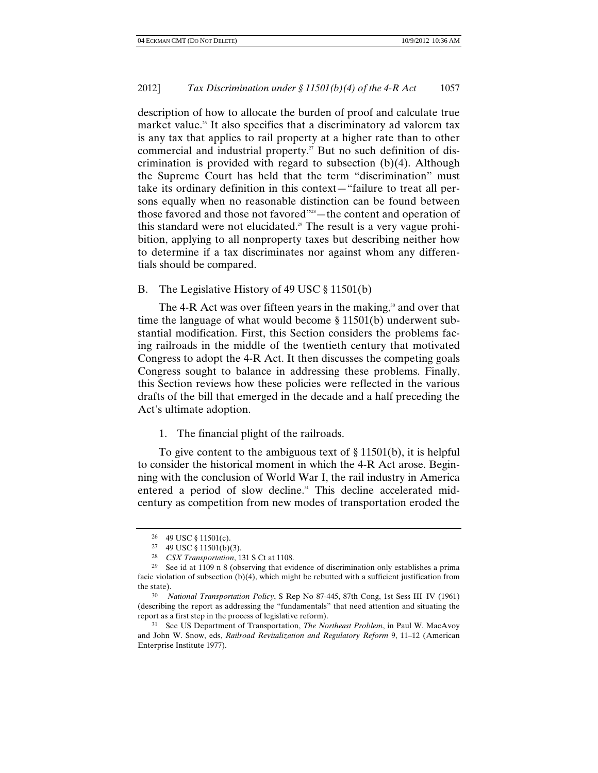description of how to allocate the burden of proof and calculate true market value.<sup>26</sup> It also specifies that a discriminatory ad valorem tax is any tax that applies to rail property at a higher rate than to other commercial and industrial property.<sup>27</sup> But no such definition of discrimination is provided with regard to subsection (b)(4). Although the Supreme Court has held that the term "discrimination" must take its ordinary definition in this context—"failure to treat all persons equally when no reasonable distinction can be found between those favored and those not favored"<sup>28</sup>—the content and operation of this standard were not elucidated.<sup>29</sup> The result is a very vague prohibition, applying to all nonproperty taxes but describing neither how to determine if a tax discriminates nor against whom any differentials should be compared.

B. The Legislative History of 49 USC § 11501(b)

The 4-R Act was over fifteen years in the making,<sup>30</sup> and over that time the language of what would become § 11501(b) underwent substantial modification. First, this Section considers the problems facing railroads in the middle of the twentieth century that motivated Congress to adopt the 4-R Act. It then discusses the competing goals Congress sought to balance in addressing these problems. Finally, this Section reviews how these policies were reflected in the various drafts of the bill that emerged in the decade and a half preceding the Act's ultimate adoption.

1. The financial plight of the railroads.

To give content to the ambiguous text of § 11501(b), it is helpful to consider the historical moment in which the 4-R Act arose. Beginning with the conclusion of World War I, the rail industry in America entered a period of slow decline.<sup>31</sup> This decline accelerated midcentury as competition from new modes of transportation eroded the

<sup>26 49</sup> USC § 11501(c).

<sup>27 49</sup> USC § 11501(b)(3).

<sup>28</sup> *CSX Transportation*, 131 S Ct at 1108.

<sup>29</sup> See id at 1109 n 8 (observing that evidence of discrimination only establishes a prima facie violation of subsection (b)(4), which might be rebutted with a sufficient justification from the state).

<sup>30</sup> *National Transportation Policy*, S Rep No 87-445, 87th Cong, 1st Sess III–IV (1961) (describing the report as addressing the "fundamentals" that need attention and situating the report as a first step in the process of legislative reform).

<sup>31</sup> See US Department of Transportation, *The Northeast Problem*, in Paul W. MacAvoy and John W. Snow, eds, *Railroad Revitalization and Regulatory Reform* 9, 11–12 (American Enterprise Institute 1977).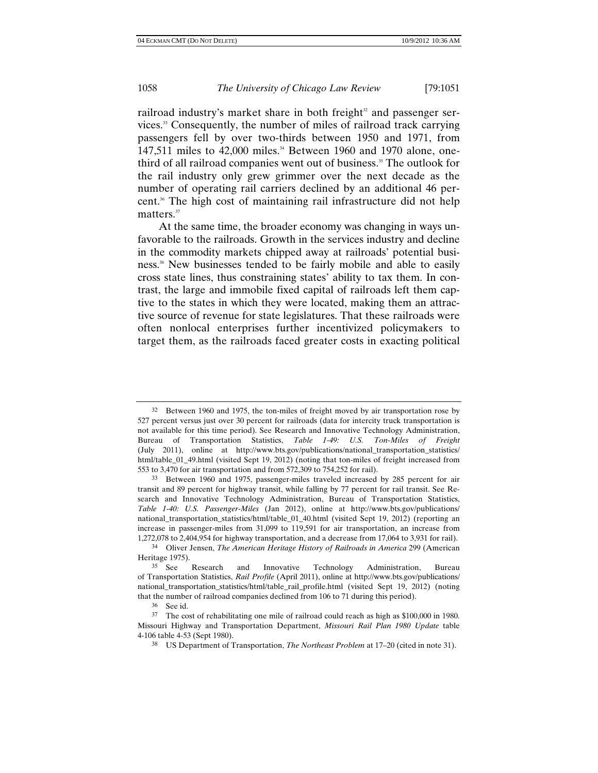railroad industry's market share in both freight $32$  and passenger services.33 Consequently, the number of miles of railroad track carrying passengers fell by over two-thirds between 1950 and 1971, from 147,511 miles to 42,000 miles.<sup>34</sup> Between 1960 and 1970 alone, onethird of all railroad companies went out of business.35 The outlook for the rail industry only grew grimmer over the next decade as the number of operating rail carriers declined by an additional 46 percent.<sup>36</sup> The high cost of maintaining rail infrastructure did not help matters.<sup>37</sup>

At the same time, the broader economy was changing in ways unfavorable to the railroads. Growth in the services industry and decline in the commodity markets chipped away at railroads' potential business.<sup>38</sup> New businesses tended to be fairly mobile and able to easily cross state lines, thus constraining states' ability to tax them. In contrast, the large and immobile fixed capital of railroads left them captive to the states in which they were located, making them an attractive source of revenue for state legislatures. That these railroads were often nonlocal enterprises further incentivized policymakers to target them, as the railroads faced greater costs in exacting political

<sup>&</sup>lt;sup>32</sup> Between 1960 and 1975, the ton-miles of freight moved by air transportation rose by 527 percent versus just over 30 percent for railroads (data for intercity truck transportation is not available for this time period). See Research and Innovative Technology Administration, Bureau of Transportation Statistics, *Table 1-49: U.S. Ton-Miles of Freight* (July 2011), online at http://www.bts.gov/publications/national\_transportation\_statistics/ html/table\_01\_49.html (visited Sept 19, 2012) (noting that ton-miles of freight increased from 553 to 3,470 for air transportation and from 572,309 to 754,252 for rail).

<sup>33</sup> Between 1960 and 1975, passenger-miles traveled increased by 285 percent for air transit and 89 percent for highway transit, while falling by 77 percent for rail transit. See Research and Innovative Technology Administration, Bureau of Transportation Statistics, *Table 1-40: U.S. Passenger-Miles* (Jan 2012), online at http://www.bts.gov/publications/ national\_transportation\_statistics/html/table\_01\_40.html (visited Sept 19, 2012) (reporting an increase in passenger-miles from 31,099 to 119,591 for air transportation, an increase from 1,272,078 to 2,404,954 for highway transportation, and a decrease from 17,064 to 3,931 for rail).

<sup>34</sup> Oliver Jensen, *The American Heritage History of Railroads in America* 299 (American Heritage 1975).

<sup>35</sup> See Research and Innovative Technology Administration, Bureau of Transportation Statistics, *Rail Profile* (April 2011), online at http://www.bts.gov/publications/ national\_transportation\_statistics/html/table\_rail\_profile.html (visited Sept 19, 2012) (noting that the number of railroad companies declined from 106 to 71 during this period).

<sup>36</sup> See id.

<sup>37</sup> The cost of rehabilitating one mile of railroad could reach as high as \$100,000 in 1980. Missouri Highway and Transportation Department, *Missouri Rail Plan 1980 Update* table 4-106 table 4-53 (Sept 1980).

<sup>38</sup> US Department of Transportation, *The Northeast Problem* at 17–20 (cited in note 31).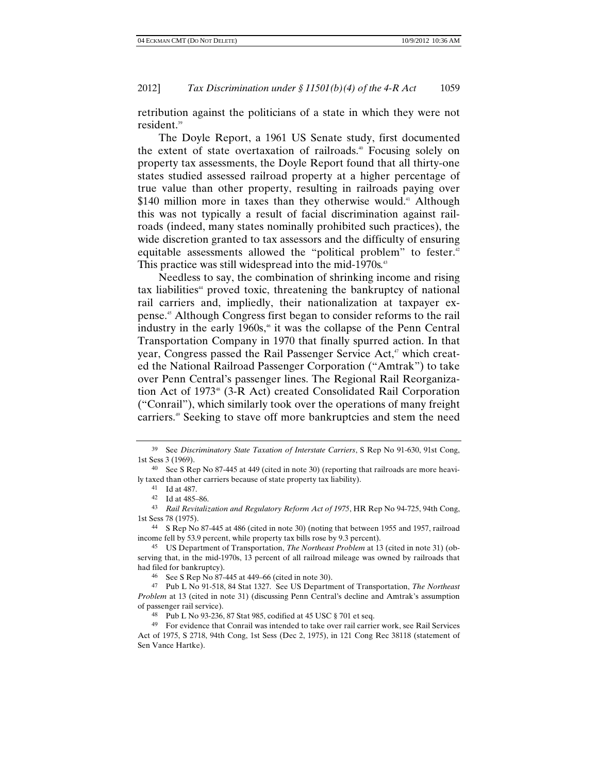retribution against the politicians of a state in which they were not resident.<sup>39</sup>

The Doyle Report, a 1961 US Senate study, first documented the extent of state overtaxation of railroads.<sup>40</sup> Focusing solely on property tax assessments, the Doyle Report found that all thirty-one states studied assessed railroad property at a higher percentage of true value than other property, resulting in railroads paying over  $$140$  million more in taxes than they otherwise would.<sup>41</sup> Although this was not typically a result of facial discrimination against railroads (indeed, many states nominally prohibited such practices), the wide discretion granted to tax assessors and the difficulty of ensuring equitable assessments allowed the "political problem" to fester.<sup>42</sup> This practice was still widespread into the mid-1970s.<sup>43</sup>

Needless to say, the combination of shrinking income and rising  $tax$  liabilities $4$  proved toxic, threatening the bankruptcy of national rail carriers and, impliedly, their nationalization at taxpayer expense.45 Although Congress first began to consider reforms to the rail industry in the early  $1960s$ ,<sup> $\ast$ </sup> it was the collapse of the Penn Central Transportation Company in 1970 that finally spurred action. In that year, Congress passed the Rail Passenger Service Act,<sup>47</sup> which created the National Railroad Passenger Corporation ("Amtrak") to take over Penn Central's passenger lines. The Regional Rail Reorganization Act of 1973<sup>48</sup> (3-R Act) created Consolidated Rail Corporation ("Conrail"), which similarly took over the operations of many freight carriers.<sup>49</sup> Seeking to stave off more bankruptcies and stem the need

44 S Rep No 87-445 at 486 (cited in note 30) (noting that between 1955 and 1957, railroad income fell by 53.9 percent, while property tax bills rose by 9.3 percent).

<sup>39</sup> See *Discriminatory State Taxation of Interstate Carriers*, S Rep No 91-630, 91st Cong, 1st Sess 3 (1969).

<sup>40</sup> See S Rep No 87-445 at 449 (cited in note 30) (reporting that railroads are more heavily taxed than other carriers because of state property tax liability).

<sup>41</sup> Id at 487.

<sup>42</sup> Id at 485–86.

<sup>43</sup> *Rail Revitalization and Regulatory Reform Act of 1975*, HR Rep No 94-725, 94th Cong, 1st Sess 78 (1975).

<sup>45</sup> US Department of Transportation, *The Northeast Problem* at 13 (cited in note 31) (observing that, in the mid-1970s, 13 percent of all railroad mileage was owned by railroads that had filed for bankruptcy).

<sup>46</sup> See S Rep No 87-445 at 449–66 (cited in note 30).

<sup>47</sup> Pub L No 91-518, 84 Stat 1327. See US Department of Transportation, *The Northeast Problem* at 13 (cited in note 31) (discussing Penn Central's decline and Amtrak's assumption of passenger rail service).

<sup>48</sup> Pub L No 93-236, 87 Stat 985, codified at 45 USC § 701 et seq.

<sup>49</sup> For evidence that Conrail was intended to take over rail carrier work, see Rail Services Act of 1975, S 2718, 94th Cong, 1st Sess (Dec 2, 1975), in 121 Cong Rec 38118 (statement of Sen Vance Hartke).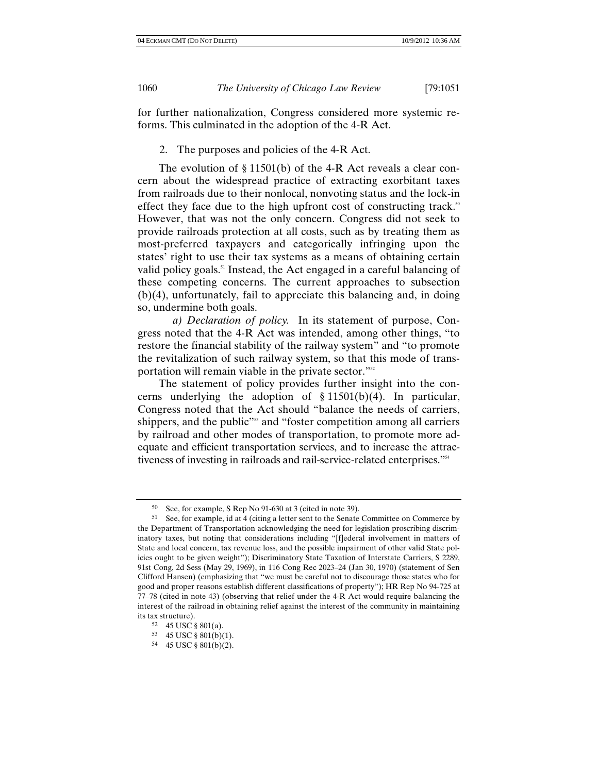for further nationalization, Congress considered more systemic reforms. This culminated in the adoption of the 4-R Act.

2. The purposes and policies of the 4-R Act.

The evolution of § 11501(b) of the 4-R Act reveals a clear concern about the widespread practice of extracting exorbitant taxes from railroads due to their nonlocal, nonvoting status and the lock-in effect they face due to the high upfront cost of constructing track.<sup>50</sup> However, that was not the only concern. Congress did not seek to provide railroads protection at all costs, such as by treating them as most-preferred taxpayers and categorically infringing upon the states' right to use their tax systems as a means of obtaining certain valid policy goals.<sup>51</sup> Instead, the Act engaged in a careful balancing of these competing concerns. The current approaches to subsection (b)(4), unfortunately, fail to appreciate this balancing and, in doing so, undermine both goals.

*a) Declaration of policy.* In its statement of purpose, Congress noted that the 4-R Act was intended, among other things, "to restore the financial stability of the railway system" and "to promote the revitalization of such railway system, so that this mode of transportation will remain viable in the private sector."<sup>52</sup>

The statement of policy provides further insight into the concerns underlying the adoption of § 11501(b)(4). In particular, Congress noted that the Act should "balance the needs of carriers, shippers, and the public"<sup>33</sup> and "foster competition among all carriers by railroad and other modes of transportation, to promote more adequate and efficient transportation services, and to increase the attractiveness of investing in railroads and rail-service-related enterprises."54

<sup>50</sup> See, for example, S Rep No 91-630 at 3 (cited in note 39).

<sup>51</sup> See, for example, id at 4 (citing a letter sent to the Senate Committee on Commerce by the Department of Transportation acknowledging the need for legislation proscribing discriminatory taxes, but noting that considerations including "[f]ederal involvement in matters of State and local concern, tax revenue loss, and the possible impairment of other valid State policies ought to be given weight"); Discriminatory State Taxation of Interstate Carriers, S 2289, 91st Cong, 2d Sess (May 29, 1969), in 116 Cong Rec 2023–24 (Jan 30, 1970) (statement of Sen Clifford Hansen) (emphasizing that "we must be careful not to discourage those states who for good and proper reasons establish different classifications of property"); HR Rep No 94-725 at 77–78 (cited in note 43) (observing that relief under the 4-R Act would require balancing the interest of the railroad in obtaining relief against the interest of the community in maintaining its tax structure).

<sup>52 45</sup> USC § 801(a).

<sup>53 45</sup> USC § 801(b)(1).

<sup>54 45</sup> USC § 801(b)(2).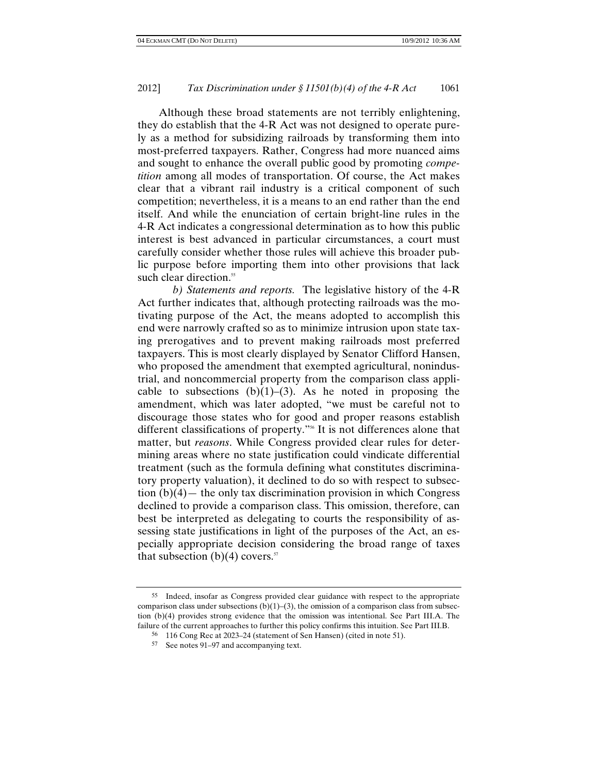Although these broad statements are not terribly enlightening, they do establish that the 4-R Act was not designed to operate purely as a method for subsidizing railroads by transforming them into most-preferred taxpayers. Rather, Congress had more nuanced aims and sought to enhance the overall public good by promoting *competition* among all modes of transportation. Of course, the Act makes clear that a vibrant rail industry is a critical component of such competition; nevertheless, it is a means to an end rather than the end itself. And while the enunciation of certain bright-line rules in the 4-R Act indicates a congressional determination as to how this public interest is best advanced in particular circumstances, a court must carefully consider whether those rules will achieve this broader public purpose before importing them into other provisions that lack such clear direction.<sup>55</sup>

*b) Statements and reports.* The legislative history of the 4-R Act further indicates that, although protecting railroads was the motivating purpose of the Act, the means adopted to accomplish this end were narrowly crafted so as to minimize intrusion upon state taxing prerogatives and to prevent making railroads most preferred taxpayers. This is most clearly displayed by Senator Clifford Hansen, who proposed the amendment that exempted agricultural, nonindustrial, and noncommercial property from the comparison class applicable to subsections  $(b)(1)-(3)$ . As he noted in proposing the amendment, which was later adopted, "we must be careful not to discourage those states who for good and proper reasons establish different classifications of property."56 It is not differences alone that matter, but *reasons*. While Congress provided clear rules for determining areas where no state justification could vindicate differential treatment (such as the formula defining what constitutes discriminatory property valuation), it declined to do so with respect to subsection  $(b)(4)$ — the only tax discrimination provision in which Congress declined to provide a comparison class. This omission, therefore, can best be interpreted as delegating to courts the responsibility of assessing state justifications in light of the purposes of the Act, an especially appropriate decision considering the broad range of taxes that subsection (b)(4) covers.<sup>57</sup>

<sup>55</sup> Indeed, insofar as Congress provided clear guidance with respect to the appropriate comparison class under subsections  $(b)(1)-(3)$ , the omission of a comparison class from subsection (b)(4) provides strong evidence that the omission was intentional. See Part III.A. The failure of the current approaches to further this policy confirms this intuition. See Part III.B.

<sup>56 116</sup> Cong Rec at 2023–24 (statement of Sen Hansen) (cited in note 51).

<sup>57</sup> See notes 91–97 and accompanying text.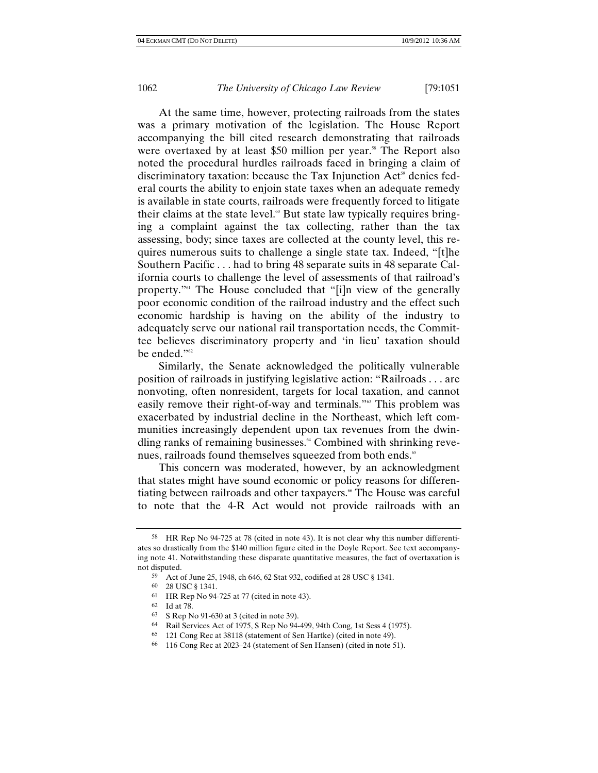At the same time, however, protecting railroads from the states was a primary motivation of the legislation. The House Report accompanying the bill cited research demonstrating that railroads were overtaxed by at least \$50 million per year.<sup>88</sup> The Report also noted the procedural hurdles railroads faced in bringing a claim of discriminatory taxation: because the Tax Injunction Act<sup>59</sup> denies federal courts the ability to enjoin state taxes when an adequate remedy is available in state courts, railroads were frequently forced to litigate their claims at the state level.<sup>60</sup> But state law typically requires bringing a complaint against the tax collecting, rather than the tax assessing, body; since taxes are collected at the county level, this requires numerous suits to challenge a single state tax. Indeed, "[t]he Southern Pacific . . . had to bring 48 separate suits in 48 separate California courts to challenge the level of assessments of that railroad's property."61 The House concluded that "[i]n view of the generally poor economic condition of the railroad industry and the effect such economic hardship is having on the ability of the industry to adequately serve our national rail transportation needs, the Committee believes discriminatory property and 'in lieu' taxation should be ended."<sup>62</sup>

Similarly, the Senate acknowledged the politically vulnerable position of railroads in justifying legislative action: "Railroads . . . are nonvoting, often nonresident, targets for local taxation, and cannot easily remove their right-of-way and terminals."<sup>63</sup> This problem was exacerbated by industrial decline in the Northeast, which left communities increasingly dependent upon tax revenues from the dwindling ranks of remaining businesses.<sup>64</sup> Combined with shrinking revenues, railroads found themselves squeezed from both ends.<sup>65</sup>

This concern was moderated, however, by an acknowledgment that states might have sound economic or policy reasons for differentiating between railroads and other taxpayers.<sup>66</sup> The House was careful to note that the 4-R Act would not provide railroads with an

<sup>58</sup> HR Rep No 94-725 at 78 (cited in note 43). It is not clear why this number differentiates so drastically from the \$140 million figure cited in the Doyle Report. See text accompanying note 41. Notwithstanding these disparate quantitative measures, the fact of overtaxation is not disputed.

<sup>59</sup> Act of June 25, 1948, ch 646, 62 Stat 932, codified at 28 USC § 1341.

<sup>60 28</sup> USC § 1341.

<sup>61</sup> HR Rep No 94-725 at 77 (cited in note 43).

<sup>62</sup> Id at 78.

<sup>63</sup> S Rep No 91-630 at 3 (cited in note 39).

<sup>64</sup> Rail Services Act of 1975, S Rep No 94-499, 94th Cong, 1st Sess 4 (1975).

<sup>65 121</sup> Cong Rec at 38118 (statement of Sen Hartke) (cited in note 49).

<sup>66 116</sup> Cong Rec at 2023–24 (statement of Sen Hansen) (cited in note 51).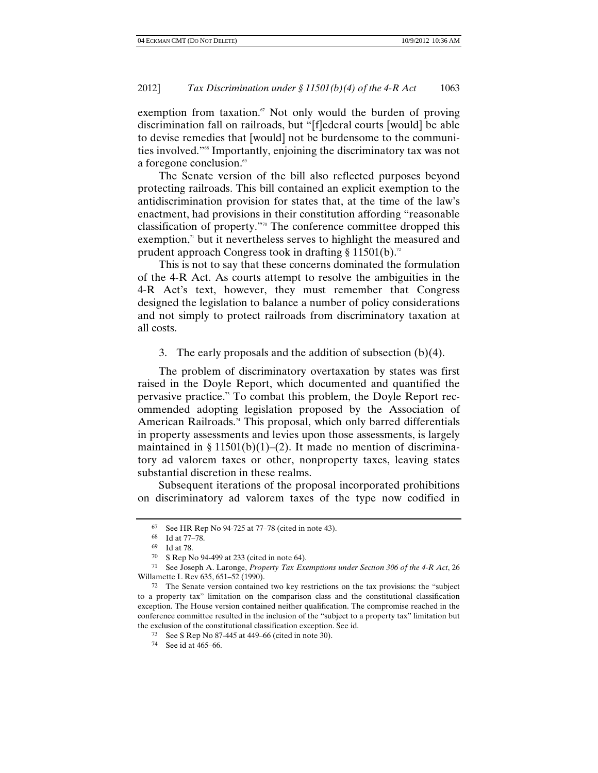exemption from taxation. $\mathfrak{g}$  Not only would the burden of proving discrimination fall on railroads, but "[f]ederal courts [would] be able to devise remedies that [would] not be burdensome to the communities involved."68 Importantly, enjoining the discriminatory tax was not a foregone conclusion.<sup>69</sup>

The Senate version of the bill also reflected purposes beyond protecting railroads. This bill contained an explicit exemption to the antidiscrimination provision for states that, at the time of the law's enactment, had provisions in their constitution affording "reasonable classification of property."<sup>0</sup> The conference committee dropped this exemption, $\alpha$  but it nevertheless serves to highlight the measured and prudent approach Congress took in drafting § 11501(b).<sup>72</sup>

This is not to say that these concerns dominated the formulation of the 4-R Act. As courts attempt to resolve the ambiguities in the 4-R Act's text, however, they must remember that Congress designed the legislation to balance a number of policy considerations and not simply to protect railroads from discriminatory taxation at all costs.

3. The early proposals and the addition of subsection (b)(4).

The problem of discriminatory overtaxation by states was first raised in the Doyle Report, which documented and quantified the pervasive practice.<sup>73</sup> To combat this problem, the Doyle Report recommended adopting legislation proposed by the Association of American Railroads.<sup>74</sup> This proposal, which only barred differentials in property assessments and levies upon those assessments, is largely maintained in § 11501(b)(1)–(2). It made no mention of discriminatory ad valorem taxes or other, nonproperty taxes, leaving states substantial discretion in these realms.

Subsequent iterations of the proposal incorporated prohibitions on discriminatory ad valorem taxes of the type now codified in

<sup>67</sup> See HR Rep No 94-725 at 77–78 (cited in note 43).

<sup>68</sup> Id at 77–78.

<sup>69</sup> Id at 78.

<sup>70</sup> S Rep No 94-499 at 233 (cited in note 64).

<sup>71</sup> See Joseph A. Laronge, *Property Tax Exemptions under Section 306 of the 4-R Act*, 26 Willamette L Rev 635, 651–52 (1990).

<sup>72</sup> The Senate version contained two key restrictions on the tax provisions: the "subject to a property tax" limitation on the comparison class and the constitutional classification exception. The House version contained neither qualification. The compromise reached in the conference committee resulted in the inclusion of the "subject to a property tax" limitation but the exclusion of the constitutional classification exception. See id.

<sup>73</sup> See S Rep No 87-445 at 449–66 (cited in note 30).

<sup>74</sup> See id at 465–66.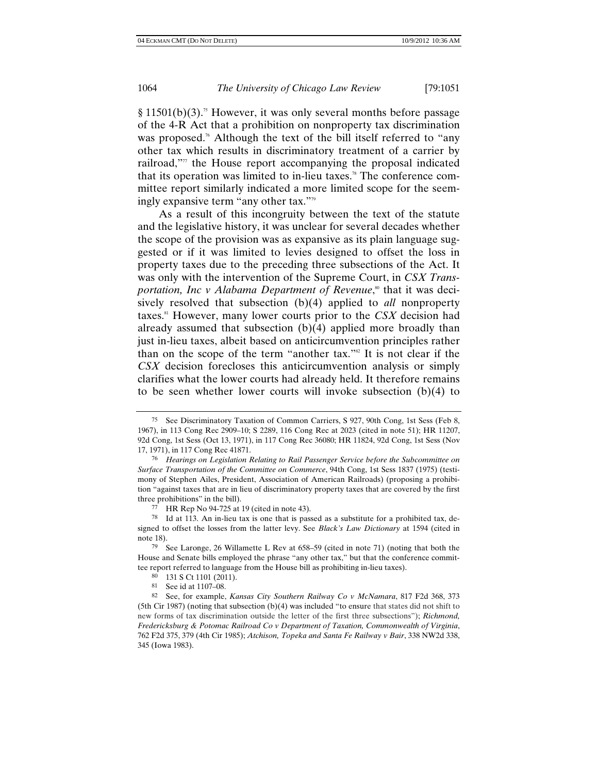$§ 11501(b)(3).$ <sup>5</sup> However, it was only several months before passage of the 4-R Act that a prohibition on nonproperty tax discrimination was proposed.<sup> $\pi$ </sup> Although the text of the bill itself referred to "any other tax which results in discriminatory treatment of a carrier by railroad, $\mathbf{r}$  the House report accompanying the proposal indicated that its operation was limited to in-lieu taxes.<sup>78</sup> The conference committee report similarly indicated a more limited scope for the seemingly expansive term "any other tax."79

As a result of this incongruity between the text of the statute and the legislative history, it was unclear for several decades whether the scope of the provision was as expansive as its plain language suggested or if it was limited to levies designed to offset the loss in property taxes due to the preceding three subsections of the Act. It was only with the intervention of the Supreme Court, in *CSX Trans*p*ortation, Inc v Alabama Department of Revenue*,<sup>80</sup> that it was decisively resolved that subsection (b)(4) applied to *all* nonproperty taxes.81 However, many lower courts prior to the *CSX* decision had already assumed that subsection (b)(4) applied more broadly than just in-lieu taxes, albeit based on anticircumvention principles rather than on the scope of the term "another tax." $\mathbb{R}$  It is not clear if the *CSX* decision forecloses this anticircumvention analysis or simply clarifies what the lower courts had already held. It therefore remains to be seen whether lower courts will invoke subsection (b)(4) to

<sup>75</sup> See Discriminatory Taxation of Common Carriers, S 927, 90th Cong, 1st Sess (Feb 8, 1967), in 113 Cong Rec 2909–10; S 2289, 116 Cong Rec at 2023 (cited in note 51); HR 11207, 92d Cong, 1st Sess (Oct 13, 1971), in 117 Cong Rec 36080; HR 11824, 92d Cong, 1st Sess (Nov 17, 1971), in 117 Cong Rec 41871.

<sup>76</sup> *Hearings on Legislation Relating to Rail Passenger Service before the Subcommittee on Surface Transportation of the Committee on Commerce*, 94th Cong, 1st Sess 1837 (1975) (testimony of Stephen Ailes, President, Association of American Railroads) (proposing a prohibition "against taxes that are in lieu of discriminatory property taxes that are covered by the first three prohibitions" in the bill).

<sup>77</sup> HR Rep No 94-725 at 19 (cited in note 43).

<sup>78</sup> Id at 113. An in-lieu tax is one that is passed as a substitute for a prohibited tax, designed to offset the losses from the latter levy. See *Black's Law Dictionary* at 1594 (cited in note 18).

<sup>79</sup> See Laronge, 26 Willamette L Rev at 658–59 (cited in note 71) (noting that both the House and Senate bills employed the phrase "any other tax," but that the conference committee report referred to language from the House bill as prohibiting in-lieu taxes).

<sup>80 131</sup> S Ct 1101 (2011).

<sup>81</sup> See id at 1107–08.

<sup>82</sup> See, for example, *Kansas City Southern Railway Co v McNamara*, 817 F2d 368, 373 (5th Cir 1987) (noting that subsection (b)(4) was included "to ensure that states did not shift to new forms of tax discrimination outside the letter of the first three subsections"); *Richmond, Fredericksburg & Potomac Railroad Co v Department of Taxation, Commonwealth of Virginia*, 762 F2d 375, 379 (4th Cir 1985); *Atchison, Topeka and Santa Fe Railway v Bair*, 338 NW2d 338, 345 (Iowa 1983).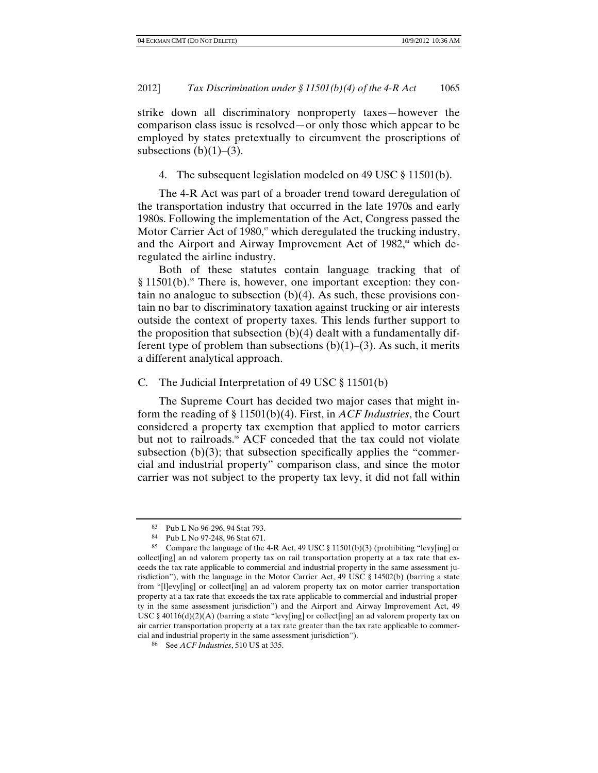strike down all discriminatory nonproperty taxes—however the comparison class issue is resolved—or only those which appear to be employed by states pretextually to circumvent the proscriptions of subsections  $(b)(1)$ – $(3)$ .

4. The subsequent legislation modeled on 49 USC § 11501(b).

The 4-R Act was part of a broader trend toward deregulation of the transportation industry that occurred in the late 1970s and early 1980s. Following the implementation of the Act, Congress passed the Motor Carrier Act of 1980, $\delta$ <sup>3</sup> which deregulated the trucking industry, and the Airport and Airway Improvement Act of  $1982$ , which deregulated the airline industry.

Both of these statutes contain language tracking that of  $§$  11501(b).<sup>85</sup> There is, however, one important exception: they contain no analogue to subsection  $(b)(4)$ . As such, these provisions contain no bar to discriminatory taxation against trucking or air interests outside the context of property taxes. This lends further support to the proposition that subsection  $(b)(4)$  dealt with a fundamentally different type of problem than subsections  $(b)(1)$ – $(3)$ . As such, it merits a different analytical approach.

### C. The Judicial Interpretation of 49 USC § 11501(b)

The Supreme Court has decided two major cases that might inform the reading of § 11501(b)(4). First, in *ACF Industries*, the Court considered a property tax exemption that applied to motor carriers but not to railroads.<sup>86</sup> ACF conceded that the tax could not violate subsection  $(b)(3)$ ; that subsection specifically applies the "commercial and industrial property" comparison class, and since the motor carrier was not subject to the property tax levy, it did not fall within

<sup>83</sup> Pub L No 96-296, 94 Stat 793.

<sup>84</sup> Pub L No 97-248, 96 Stat 671.

<sup>85</sup> Compare the language of the 4-R Act, 49 USC § 11501(b)(3) (prohibiting "levy[ing] or collect[ing] an ad valorem property tax on rail transportation property at a tax rate that exceeds the tax rate applicable to commercial and industrial property in the same assessment jurisdiction"), with the language in the Motor Carrier Act, 49 USC § 14502(b) (barring a state from "[l]evy[ing] or collect[ing] an ad valorem property tax on motor carrier transportation property at a tax rate that exceeds the tax rate applicable to commercial and industrial property in the same assessment jurisdiction") and the Airport and Airway Improvement Act, 49 USC § 40116(d)(2)(A) (barring a state "levy[ing] or collect[ing] an ad valorem property tax on air carrier transportation property at a tax rate greater than the tax rate applicable to commercial and industrial property in the same assessment jurisdiction").

<sup>86</sup> See *ACF Industries*, 510 US at 335.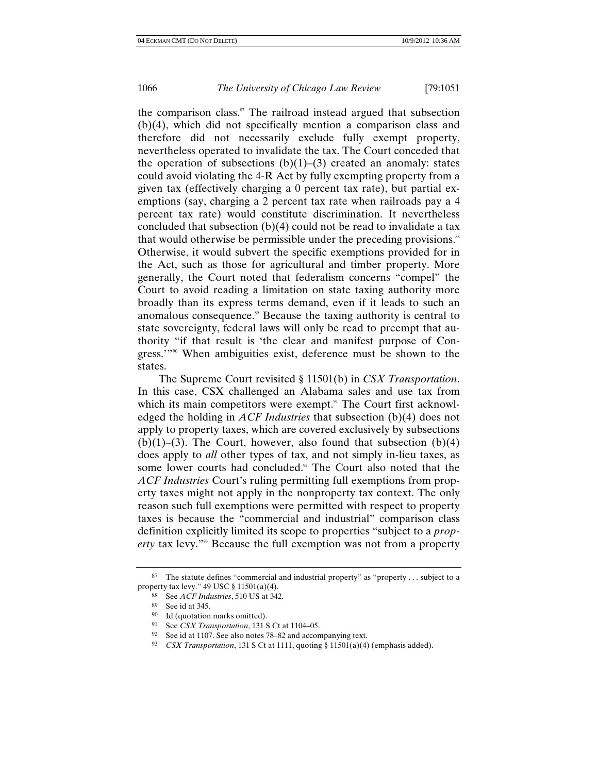the comparison class.<sup>87</sup> The railroad instead argued that subsection (b)(4), which did not specifically mention a comparison class and therefore did not necessarily exclude fully exempt property, nevertheless operated to invalidate the tax. The Court conceded that the operation of subsections  $(b)(1)$ – $(3)$  created an anomaly: states could avoid violating the 4-R Act by fully exempting property from a given tax (effectively charging a 0 percent tax rate), but partial exemptions (say, charging a 2 percent tax rate when railroads pay a 4 percent tax rate) would constitute discrimination. It nevertheless concluded that subsection (b)(4) could not be read to invalidate a tax that would otherwise be permissible under the preceding provisions.<sup>88</sup> Otherwise, it would subvert the specific exemptions provided for in the Act, such as those for agricultural and timber property. More generally, the Court noted that federalism concerns "compel" the Court to avoid reading a limitation on state taxing authority more broadly than its express terms demand, even if it leads to such an anomalous consequence.<sup>89</sup> Because the taxing authority is central to state sovereignty, federal laws will only be read to preempt that authority "if that result is 'the clear and manifest purpose of Congress.'"90 When ambiguities exist, deference must be shown to the states.

The Supreme Court revisited § 11501(b) in *CSX Transportation*. In this case, CSX challenged an Alabama sales and use tax from which its main competitors were exempt.<sup>91</sup> The Court first acknowledged the holding in *ACF Industries* that subsection (b)(4) does not apply to property taxes, which are covered exclusively by subsections  $(b)(1)$ –(3). The Court, however, also found that subsection  $(b)(4)$ does apply to *all* other types of tax, and not simply in-lieu taxes, as some lower courts had concluded.<sup>92</sup> The Court also noted that the *ACF Industries* Court's ruling permitting full exemptions from property taxes might not apply in the nonproperty tax context. The only reason such full exemptions were permitted with respect to property taxes is because the "commercial and industrial" comparison class definition explicitly limited its scope to properties "subject to a *property* tax levy."93 Because the full exemption was not from a property

<sup>&</sup>lt;sup>87</sup> The statute defines "commercial and industrial property" as "property... subject to a property tax levy." 49 USC § 11501(a)(4).

<sup>88</sup> See *ACF Industries*, 510 US at 342.

<sup>89</sup> See id at 345.

<sup>90</sup> Id (quotation marks omitted).

<sup>91</sup> See *CSX Transportation*, 131 S Ct at 1104–05.

<sup>92</sup> See id at 1107. See also notes 78–82 and accompanying text.

<sup>93</sup> *CSX Transportation*, 131 S Ct at 1111, quoting § 11501(a)(4) (emphasis added).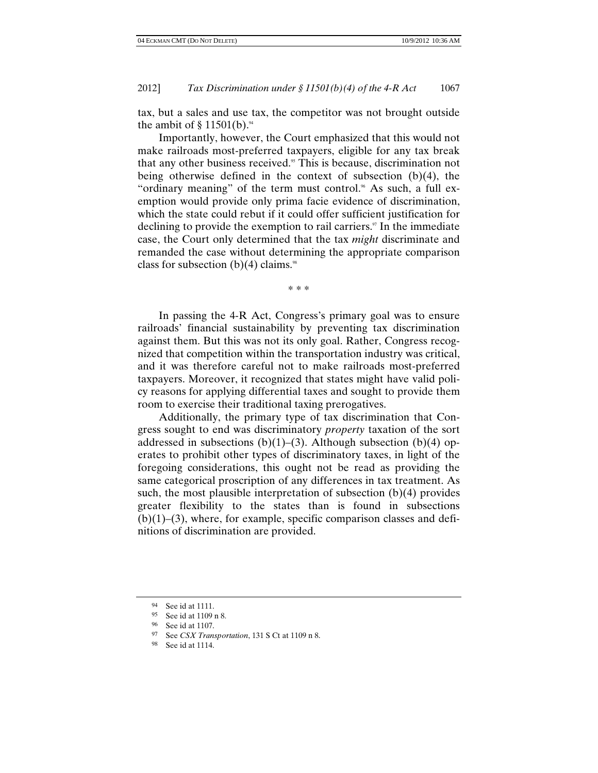tax, but a sales and use tax, the competitor was not brought outside the ambit of  $§ 11501(b).$ <sup>94</sup>

Importantly, however, the Court emphasized that this would not make railroads most-preferred taxpayers, eligible for any tax break that any other business received.<sup>95</sup> This is because, discrimination not being otherwise defined in the context of subsection (b)(4), the "ordinary meaning" of the term must control." As such, a full exemption would provide only prima facie evidence of discrimination, which the state could rebut if it could offer sufficient justification for declining to provide the exemption to rail carriers.<sup>97</sup> In the immediate case, the Court only determined that the tax *might* discriminate and remanded the case without determining the appropriate comparison class for subsection  $(b)(4)$  claims.<sup>98</sup>

\* \* \*

In passing the 4-R Act, Congress's primary goal was to ensure railroads' financial sustainability by preventing tax discrimination against them. But this was not its only goal. Rather, Congress recognized that competition within the transportation industry was critical, and it was therefore careful not to make railroads most-preferred taxpayers. Moreover, it recognized that states might have valid policy reasons for applying differential taxes and sought to provide them room to exercise their traditional taxing prerogatives.

Additionally, the primary type of tax discrimination that Congress sought to end was discriminatory *property* taxation of the sort addressed in subsections  $(b)(1)$ –(3). Although subsection  $(b)(4)$  operates to prohibit other types of discriminatory taxes, in light of the foregoing considerations, this ought not be read as providing the same categorical proscription of any differences in tax treatment. As such, the most plausible interpretation of subsection  $(b)(4)$  provides greater flexibility to the states than is found in subsections  $(b)(1)$ –(3), where, for example, specific comparison classes and definitions of discrimination are provided.

<sup>94</sup> See id at 1111.

<sup>95</sup> See id at 1109 n 8.

<sup>96</sup> See id at 1107.

<sup>97</sup> See *CSX Transportation*, 131 S Ct at 1109 n 8. 98 See id at 1114.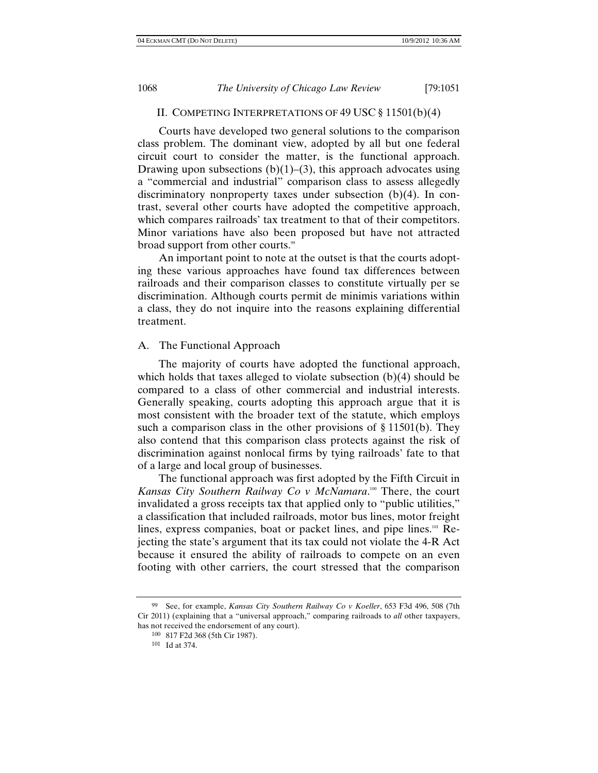# II. COMPETING INTERPRETATIONS OF 49 USC § 11501(b)(4)

Courts have developed two general solutions to the comparison class problem. The dominant view, adopted by all but one federal circuit court to consider the matter, is the functional approach. Drawing upon subsections  $(b)(1)$ – $(3)$ , this approach advocates using a "commercial and industrial" comparison class to assess allegedly discriminatory nonproperty taxes under subsection (b)(4). In contrast, several other courts have adopted the competitive approach, which compares railroads' tax treatment to that of their competitors. Minor variations have also been proposed but have not attracted broad support from other courts.<sup>99</sup>

An important point to note at the outset is that the courts adopting these various approaches have found tax differences between railroads and their comparison classes to constitute virtually per se discrimination. Although courts permit de minimis variations within a class, they do not inquire into the reasons explaining differential treatment.

### A. The Functional Approach

The majority of courts have adopted the functional approach, which holds that taxes alleged to violate subsection (b)(4) should be compared to a class of other commercial and industrial interests. Generally speaking, courts adopting this approach argue that it is most consistent with the broader text of the statute, which employs such a comparison class in the other provisions of § 11501(b). They also contend that this comparison class protects against the risk of discrimination against nonlocal firms by tying railroads' fate to that of a large and local group of businesses.

The functional approach was first adopted by the Fifth Circuit in Kansas City Southern Railway Co v McNamara.<sup>100</sup> There, the court invalidated a gross receipts tax that applied only to "public utilities," a classification that included railroads, motor bus lines, motor freight lines, express companies, boat or packet lines, and pipe lines.<sup>101</sup> Rejecting the state's argument that its tax could not violate the 4-R Act because it ensured the ability of railroads to compete on an even footing with other carriers, the court stressed that the comparison

<sup>99</sup> See, for example, *Kansas City Southern Railway Co v Koeller*, 653 F3d 496, 508 (7th Cir 2011) (explaining that a "universal approach," comparing railroads to *all* other taxpayers, has not received the endorsement of any court).

<sup>100 817</sup> F2d 368 (5th Cir 1987). 101 Id at 374.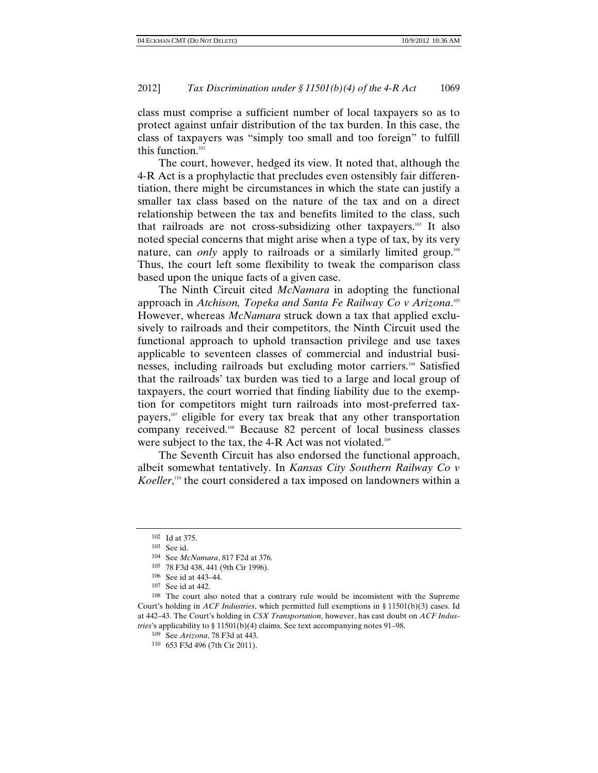class must comprise a sufficient number of local taxpayers so as to protect against unfair distribution of the tax burden. In this case, the class of taxpayers was "simply too small and too foreign" to fulfill this function.<sup>102</sup>

The court, however, hedged its view. It noted that, although the 4-R Act is a prophylactic that precludes even ostensibly fair differentiation, there might be circumstances in which the state can justify a smaller tax class based on the nature of the tax and on a direct relationship between the tax and benefits limited to the class, such that railroads are not cross-subsidizing other taxpayers.103 It also noted special concerns that might arise when a type of tax, by its very nature, can *only* apply to railroads or a similarly limited group.104 Thus, the court left some flexibility to tweak the comparison class based upon the unique facts of a given case.

The Ninth Circuit cited *McNamara* in adopting the functional approach in *Atchison, Topeka and Santa Fe Railway Co v Arizona*. 105 However, whereas *McNamara* struck down a tax that applied exclusively to railroads and their competitors, the Ninth Circuit used the functional approach to uphold transaction privilege and use taxes applicable to seventeen classes of commercial and industrial businesses, including railroads but excluding motor carriers.106 Satisfied that the railroads' tax burden was tied to a large and local group of taxpayers, the court worried that finding liability due to the exemption for competitors might turn railroads into most-preferred taxpayers,<sup>107</sup> eligible for every tax break that any other transportation company received.108 Because 82 percent of local business classes were subject to the tax, the 4-R Act was not violated.<sup>109</sup>

The Seventh Circuit has also endorsed the functional approach, albeit somewhat tentatively. In *Kansas City Southern Railway Co v*  Koeller,<sup>110</sup> the court considered a tax imposed on landowners within a

 $102$  Id at 375.<br> $103$  See id.

<sup>104</sup> See *McNamara*, 817 F2d at 376.

<sup>105 78</sup> F3d 438, 441 (9th Cir 1996).

<sup>106</sup> See id at 443–44. 107 See id at 442.

<sup>108</sup> The court also noted that a contrary rule would be inconsistent with the Supreme Court's holding in *ACF Industries*, which permitted full exemptions in § 11501(b)(3) cases. Id at 442–43. The Court's holding in *CSX Transportation*, however, has cast doubt on *ACF Industries*'s applicability to § 11501(b)(4) claims. See text accompanying notes 91–98.<br><sup>109</sup> See Arizona, 78 F3d at 443.

<sup>110 653</sup> F3d 496 (7th Cir 2011).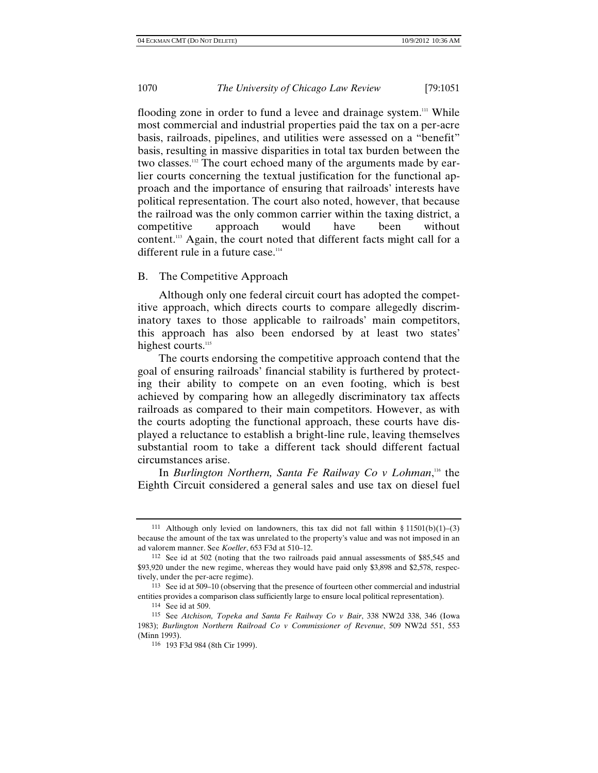flooding zone in order to fund a levee and drainage system.<sup>111</sup> While most commercial and industrial properties paid the tax on a per-acre basis, railroads, pipelines, and utilities were assessed on a "benefit" basis, resulting in massive disparities in total tax burden between the two classes.112 The court echoed many of the arguments made by earlier courts concerning the textual justification for the functional approach and the importance of ensuring that railroads' interests have political representation. The court also noted, however, that because the railroad was the only common carrier within the taxing district, a competitive approach would have been without content.113 Again, the court noted that different facts might call for a different rule in a future case.<sup>114</sup>

# B. The Competitive Approach

Although only one federal circuit court has adopted the competitive approach, which directs courts to compare allegedly discriminatory taxes to those applicable to railroads' main competitors, this approach has also been endorsed by at least two states' highest courts.<sup>115</sup>

The courts endorsing the competitive approach contend that the goal of ensuring railroads' financial stability is furthered by protecting their ability to compete on an even footing, which is best achieved by comparing how an allegedly discriminatory tax affects railroads as compared to their main competitors. However, as with the courts adopting the functional approach, these courts have displayed a reluctance to establish a bright-line rule, leaving themselves substantial room to take a different tack should different factual circumstances arise.

In *Burlington Northern, Santa Fe Railway Co v Lohman*, 116 the Eighth Circuit considered a general sales and use tax on diesel fuel

<sup>&</sup>lt;sup>111</sup> Although only levied on landowners, this tax did not fall within § 11501(b)(1)–(3) because the amount of the tax was unrelated to the property's value and was not imposed in an ad valorem manner. See *Koeller*, 653 F3d at 510–12.

<sup>112</sup> See id at 502 (noting that the two railroads paid annual assessments of \$85,545 and \$93,920 under the new regime, whereas they would have paid only \$3,898 and \$2,578, respectively, under the per-acre regime).

<sup>113</sup> See id at 509–10 (observing that the presence of fourteen other commercial and industrial entities provides a comparison class sufficiently large to ensure local political representation).<br><sup>114</sup> See id at 509.

<sup>&</sup>lt;sup>115</sup> See *Atchison, Topeka and Santa Fe Railway Co v Bair*, 338 NW2d 338, 346 (Iowa 1983); *Burlington Northern Railroad Co v Commissioner of Revenue*, 509 NW2d 551, 553 (Minn 1993).

<sup>116 193</sup> F3d 984 (8th Cir 1999).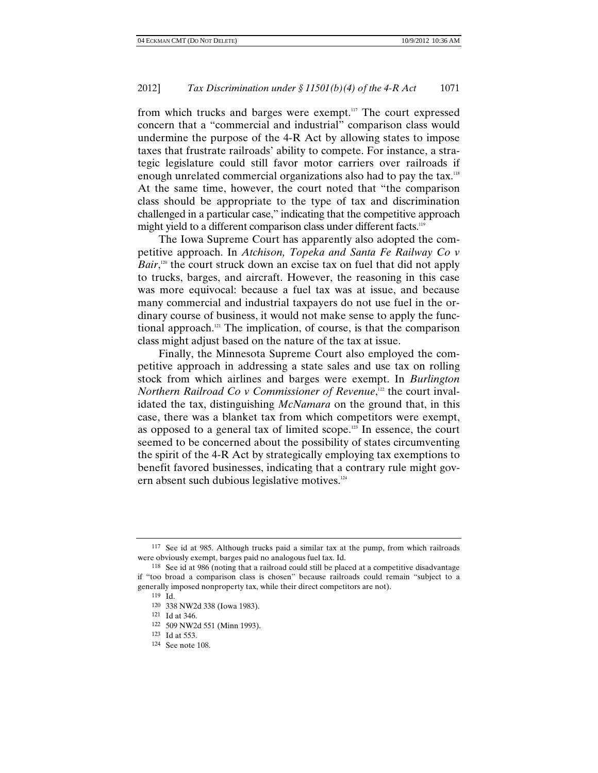from which trucks and barges were exempt.<sup>117</sup> The court expressed concern that a "commercial and industrial" comparison class would undermine the purpose of the 4-R Act by allowing states to impose taxes that frustrate railroads' ability to compete. For instance, a strategic legislature could still favor motor carriers over railroads if enough unrelated commercial organizations also had to pay the tax.<sup>118</sup> At the same time, however, the court noted that "the comparison class should be appropriate to the type of tax and discrimination challenged in a particular case," indicating that the competitive approach might yield to a different comparison class under different facts.<sup>119</sup>

The Iowa Supreme Court has apparently also adopted the competitive approach. In *Atchison, Topeka and Santa Fe Railway Co v Bair*,<sup>120</sup> the court struck down an excise tax on fuel that did not apply to trucks, barges, and aircraft. However, the reasoning in this case was more equivocal: because a fuel tax was at issue, and because many commercial and industrial taxpayers do not use fuel in the ordinary course of business, it would not make sense to apply the functional approach.121 The implication, of course, is that the comparison class might adjust based on the nature of the tax at issue.

Finally, the Minnesota Supreme Court also employed the competitive approach in addressing a state sales and use tax on rolling stock from which airlines and barges were exempt. In *Burlington Northern Railroad Co v Commissioner of Revenue*,<sup>122</sup> the court invalidated the tax, distinguishing *McNamara* on the ground that, in this case, there was a blanket tax from which competitors were exempt, as opposed to a general tax of limited scope. $123$  In essence, the court seemed to be concerned about the possibility of states circumventing the spirit of the 4-R Act by strategically employing tax exemptions to benefit favored businesses, indicating that a contrary rule might govern absent such dubious legislative motives.<sup>124</sup>

<sup>117</sup> See id at 985. Although trucks paid a similar tax at the pump, from which railroads were obviously exempt, barges paid no analogous fuel tax. Id.

<sup>118</sup> See id at 986 (noting that a railroad could still be placed at a competitive disadvantage if "too broad a comparison class is chosen" because railroads could remain "subject to a generally imposed nonproperty tax, while their direct competitors are not).

<sup>119</sup> Id.

<sup>120 338</sup> NW2d 338 (Iowa 1983). 121 Id at 346.

<sup>122 509</sup> NW2d 551 (Minn 1993).<br>123 Id at 553.

 $124$  See note 108.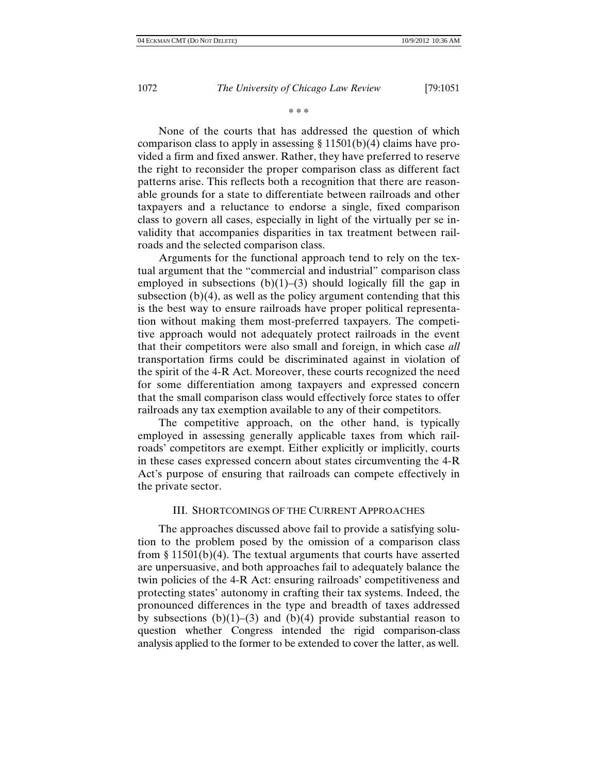\* \* \*

None of the courts that has addressed the question of which comparison class to apply in assessing  $\S 11501(b)(4)$  claims have provided a firm and fixed answer. Rather, they have preferred to reserve the right to reconsider the proper comparison class as different fact patterns arise. This reflects both a recognition that there are reasonable grounds for a state to differentiate between railroads and other taxpayers and a reluctance to endorse a single, fixed comparison class to govern all cases, especially in light of the virtually per se invalidity that accompanies disparities in tax treatment between railroads and the selected comparison class.

Arguments for the functional approach tend to rely on the textual argument that the "commercial and industrial" comparison class employed in subsections  $(b)(1)$ – $(3)$  should logically fill the gap in subsection  $(b)(4)$ , as well as the policy argument contending that this is the best way to ensure railroads have proper political representation without making them most-preferred taxpayers. The competitive approach would not adequately protect railroads in the event that their competitors were also small and foreign, in which case *all* transportation firms could be discriminated against in violation of the spirit of the 4-R Act. Moreover, these courts recognized the need for some differentiation among taxpayers and expressed concern that the small comparison class would effectively force states to offer railroads any tax exemption available to any of their competitors.

The competitive approach, on the other hand, is typically employed in assessing generally applicable taxes from which railroads' competitors are exempt. Either explicitly or implicitly, courts in these cases expressed concern about states circumventing the 4-R Act's purpose of ensuring that railroads can compete effectively in the private sector.

# III. SHORTCOMINGS OF THE CURRENT APPROACHES

The approaches discussed above fail to provide a satisfying solution to the problem posed by the omission of a comparison class from § 11501(b)(4). The textual arguments that courts have asserted are unpersuasive, and both approaches fail to adequately balance the twin policies of the 4-R Act: ensuring railroads' competitiveness and protecting states' autonomy in crafting their tax systems. Indeed, the pronounced differences in the type and breadth of taxes addressed by subsections  $(b)(1)$ –(3) and  $(b)(4)$  provide substantial reason to question whether Congress intended the rigid comparison-class analysis applied to the former to be extended to cover the latter, as well.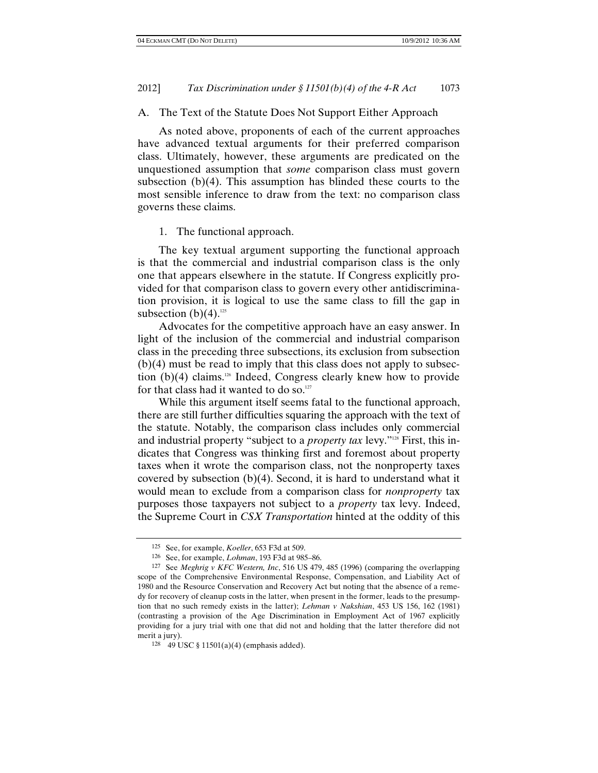### A. The Text of the Statute Does Not Support Either Approach

As noted above, proponents of each of the current approaches have advanced textual arguments for their preferred comparison class. Ultimately, however, these arguments are predicated on the unquestioned assumption that *some* comparison class must govern subsection (b)(4). This assumption has blinded these courts to the most sensible inference to draw from the text: no comparison class governs these claims.

#### 1. The functional approach.

The key textual argument supporting the functional approach is that the commercial and industrial comparison class is the only one that appears elsewhere in the statute. If Congress explicitly provided for that comparison class to govern every other antidiscrimination provision, it is logical to use the same class to fill the gap in subsection  $(b)(4)$ <sup>125</sup>

Advocates for the competitive approach have an easy answer. In light of the inclusion of the commercial and industrial comparison class in the preceding three subsections, its exclusion from subsection (b)(4) must be read to imply that this class does not apply to subsection  $(b)(4)$  claims.<sup>126</sup> Indeed, Congress clearly knew how to provide for that class had it wanted to do so. $127$ 

While this argument itself seems fatal to the functional approach, there are still further difficulties squaring the approach with the text of the statute. Notably, the comparison class includes only commercial and industrial property "subject to a *property tax* levy."128 First, this indicates that Congress was thinking first and foremost about property taxes when it wrote the comparison class, not the nonproperty taxes covered by subsection (b)(4). Second, it is hard to understand what it would mean to exclude from a comparison class for *nonproperty* tax purposes those taxpayers not subject to a *property* tax levy. Indeed, the Supreme Court in *CSX Transportation* hinted at the oddity of this

<sup>125</sup> See, for example, *Koeller*, 653 F3d at 509. 126 See, for example, *Lohman*, 193 F3d at 985–86.

<sup>127</sup> See *Meghrig v KFC Western, Inc*, 516 US 479, 485 (1996) (comparing the overlapping scope of the Comprehensive Environmental Response, Compensation, and Liability Act of 1980 and the Resource Conservation and Recovery Act but noting that the absence of a remedy for recovery of cleanup costs in the latter, when present in the former, leads to the presumption that no such remedy exists in the latter); *Lehman v Nakshian*, 453 US 156, 162 (1981) (contrasting a provision of the Age Discrimination in Employment Act of 1967 explicitly providing for a jury trial with one that did not and holding that the latter therefore did not merit a jury).

<sup>128 49</sup> USC § 11501(a)(4) (emphasis added).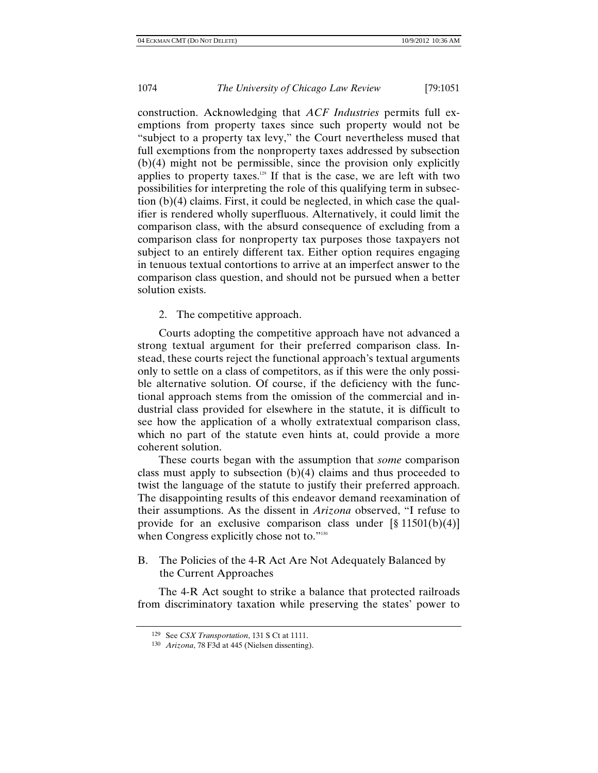construction. Acknowledging that *ACF Industries* permits full exemptions from property taxes since such property would not be "subject to a property tax levy," the Court nevertheless mused that full exemptions from the nonproperty taxes addressed by subsection (b)(4) might not be permissible, since the provision only explicitly applies to property taxes.<sup>129</sup> If that is the case, we are left with two possibilities for interpreting the role of this qualifying term in subsection (b)(4) claims. First, it could be neglected, in which case the qualifier is rendered wholly superfluous. Alternatively, it could limit the comparison class, with the absurd consequence of excluding from a comparison class for nonproperty tax purposes those taxpayers not subject to an entirely different tax. Either option requires engaging in tenuous textual contortions to arrive at an imperfect answer to the comparison class question, and should not be pursued when a better solution exists.

2. The competitive approach.

Courts adopting the competitive approach have not advanced a strong textual argument for their preferred comparison class. Instead, these courts reject the functional approach's textual arguments only to settle on a class of competitors, as if this were the only possible alternative solution. Of course, if the deficiency with the functional approach stems from the omission of the commercial and industrial class provided for elsewhere in the statute, it is difficult to see how the application of a wholly extratextual comparison class, which no part of the statute even hints at, could provide a more coherent solution.

These courts began with the assumption that *some* comparison class must apply to subsection  $(b)(4)$  claims and thus proceeded to twist the language of the statute to justify their preferred approach. The disappointing results of this endeavor demand reexamination of their assumptions. As the dissent in *Arizona* observed, "I refuse to provide for an exclusive comparison class under  $\lceil \S 11501(b)(4) \rceil$ when Congress explicitly chose not to."<sup>130</sup>

B. The Policies of the 4-R Act Are Not Adequately Balanced by the Current Approaches

The 4-R Act sought to strike a balance that protected railroads from discriminatory taxation while preserving the states' power to

<sup>129</sup> See *CSX Transportation*, 131 S Ct at 1111. 130 *Arizona*, 78 F3d at 445 (Nielsen dissenting).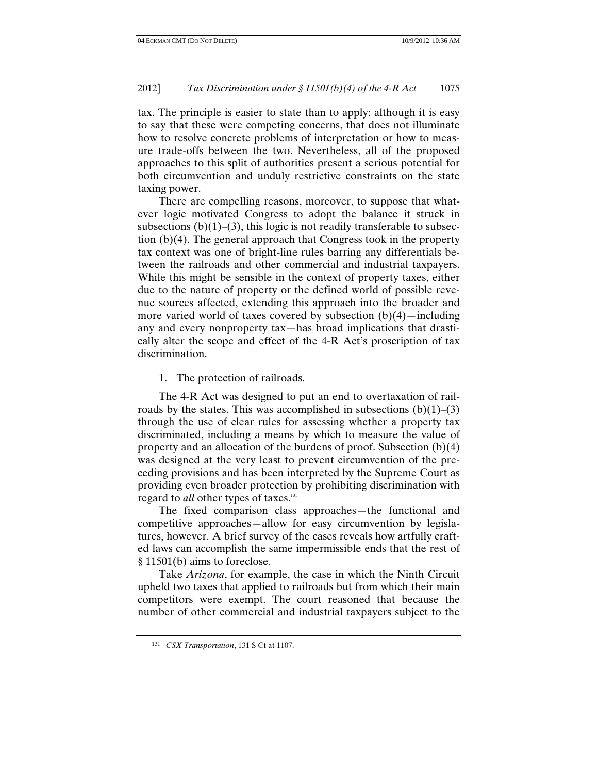tax. The principle is easier to state than to apply: although it is easy to say that these were competing concerns, that does not illuminate how to resolve concrete problems of interpretation or how to measure trade-offs between the two. Nevertheless, all of the proposed approaches to this split of authorities present a serious potential for both circumvention and unduly restrictive constraints on the state taxing power.

There are compelling reasons, moreover, to suppose that whatever logic motivated Congress to adopt the balance it struck in subsections  $(b)(1)$ –(3), this logic is not readily transferable to subsection (b)(4). The general approach that Congress took in the property tax context was one of bright-line rules barring any differentials between the railroads and other commercial and industrial taxpayers. While this might be sensible in the context of property taxes, either due to the nature of property or the defined world of possible revenue sources affected, extending this approach into the broader and more varied world of taxes covered by subsection  $(b)(4)$ —including any and every nonproperty tax—has broad implications that drastically alter the scope and effect of the 4-R Act's proscription of tax discrimination.

1. The protection of railroads.

The 4-R Act was designed to put an end to overtaxation of railroads by the states. This was accomplished in subsections  $(b)(1)$ – $(3)$ through the use of clear rules for assessing whether a property tax discriminated, including a means by which to measure the value of property and an allocation of the burdens of proof. Subsection (b)(4) was designed at the very least to prevent circumvention of the preceding provisions and has been interpreted by the Supreme Court as providing even broader protection by prohibiting discrimination with regard to *all* other types of taxes.<sup>131</sup>

The fixed comparison class approaches—the functional and competitive approaches—allow for easy circumvention by legislatures, however. A brief survey of the cases reveals how artfully crafted laws can accomplish the same impermissible ends that the rest of § 11501(b) aims to foreclose.

Take *Arizona*, for example, the case in which the Ninth Circuit upheld two taxes that applied to railroads but from which their main competitors were exempt. The court reasoned that because the number of other commercial and industrial taxpayers subject to the

<sup>131</sup> *CSX Transportation*, 131 S Ct at 1107.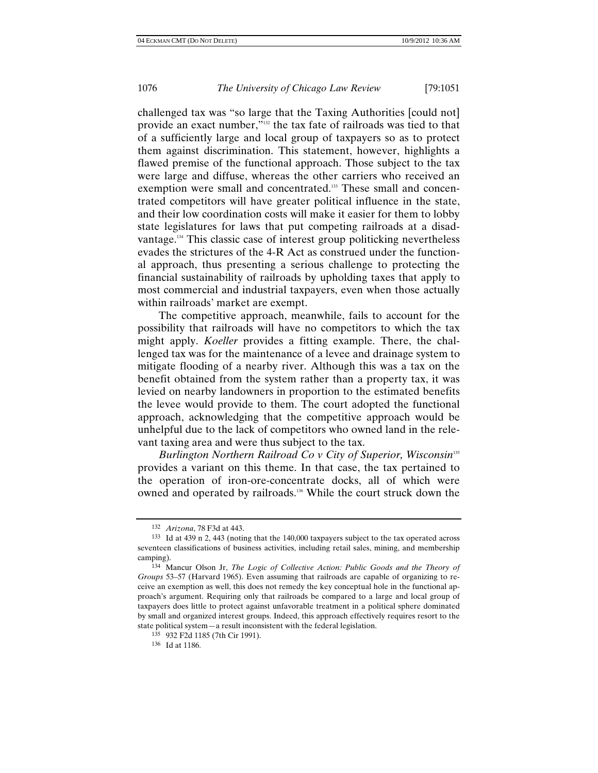challenged tax was "so large that the Taxing Authorities [could not] provide an exact number,"132 the tax fate of railroads was tied to that of a sufficiently large and local group of taxpayers so as to protect them against discrimination. This statement, however, highlights a flawed premise of the functional approach. Those subject to the tax were large and diffuse, whereas the other carriers who received an exemption were small and concentrated.<sup>133</sup> These small and concentrated competitors will have greater political influence in the state, and their low coordination costs will make it easier for them to lobby state legislatures for laws that put competing railroads at a disadvantage.134 This classic case of interest group politicking nevertheless evades the strictures of the 4-R Act as construed under the functional approach, thus presenting a serious challenge to protecting the financial sustainability of railroads by upholding taxes that apply to most commercial and industrial taxpayers, even when those actually within railroads' market are exempt.

The competitive approach, meanwhile, fails to account for the possibility that railroads will have no competitors to which the tax might apply. *Koeller* provides a fitting example. There, the challenged tax was for the maintenance of a levee and drainage system to mitigate flooding of a nearby river. Although this was a tax on the benefit obtained from the system rather than a property tax, it was levied on nearby landowners in proportion to the estimated benefits the levee would provide to them. The court adopted the functional approach, acknowledging that the competitive approach would be unhelpful due to the lack of competitors who owned land in the relevant taxing area and were thus subject to the tax.

*Burlington Northern Railroad Co v City of Superior, Wisconsin*<sup>135</sup> provides a variant on this theme. In that case, the tax pertained to the operation of iron-ore-concentrate docks, all of which were owned and operated by railroads.<sup>136</sup> While the court struck down the

<sup>132</sup> *Arizona*, 78 F3d at 443.

<sup>133</sup> Id at 439 n 2, 443 (noting that the 140,000 taxpayers subject to the tax operated across seventeen classifications of business activities, including retail sales, mining, and membership camping).

<sup>134</sup> Mancur Olson Jr, *The Logic of Collective Action: Public Goods and the Theory of Groups* 53–57 (Harvard 1965). Even assuming that railroads are capable of organizing to receive an exemption as well, this does not remedy the key conceptual hole in the functional approach's argument. Requiring only that railroads be compared to a large and local group of taxpayers does little to protect against unfavorable treatment in a political sphere dominated by small and organized interest groups. Indeed, this approach effectively requires resort to the state political system—a result inconsistent with the federal legislation.

<sup>135 932</sup> F2d 1185 (7th Cir 1991). 136 Id at 1186.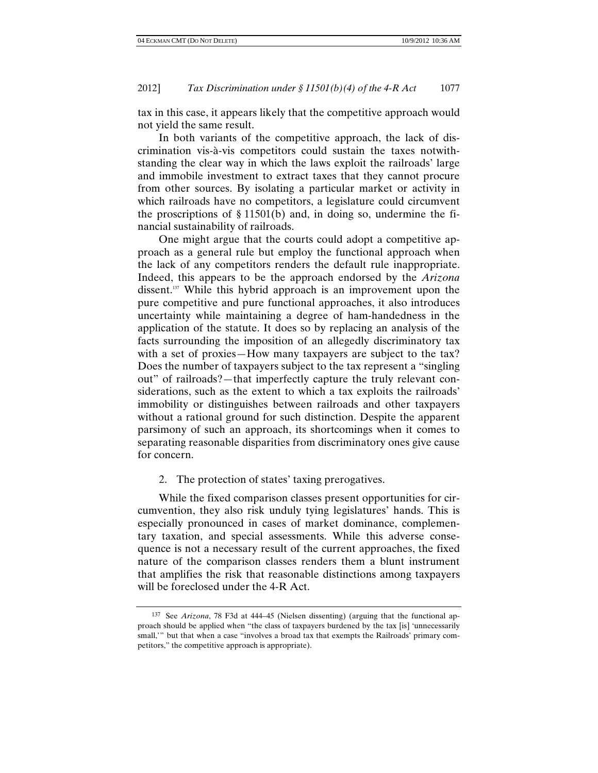tax in this case, it appears likely that the competitive approach would not yield the same result.

In both variants of the competitive approach, the lack of discrimination vis-à-vis competitors could sustain the taxes notwithstanding the clear way in which the laws exploit the railroads' large and immobile investment to extract taxes that they cannot procure from other sources. By isolating a particular market or activity in which railroads have no competitors, a legislature could circumvent the proscriptions of § 11501(b) and, in doing so, undermine the financial sustainability of railroads.

One might argue that the courts could adopt a competitive approach as a general rule but employ the functional approach when the lack of any competitors renders the default rule inappropriate. Indeed, this appears to be the approach endorsed by the *Arizona* dissent.137 While this hybrid approach is an improvement upon the pure competitive and pure functional approaches, it also introduces uncertainty while maintaining a degree of ham-handedness in the application of the statute. It does so by replacing an analysis of the facts surrounding the imposition of an allegedly discriminatory tax with a set of proxies—How many taxpayers are subject to the tax? Does the number of taxpayers subject to the tax represent a "singling out" of railroads?—that imperfectly capture the truly relevant considerations, such as the extent to which a tax exploits the railroads' immobility or distinguishes between railroads and other taxpayers without a rational ground for such distinction. Despite the apparent parsimony of such an approach, its shortcomings when it comes to separating reasonable disparities from discriminatory ones give cause for concern.

### 2. The protection of states' taxing prerogatives.

While the fixed comparison classes present opportunities for circumvention, they also risk unduly tying legislatures' hands. This is especially pronounced in cases of market dominance, complementary taxation, and special assessments. While this adverse consequence is not a necessary result of the current approaches, the fixed nature of the comparison classes renders them a blunt instrument that amplifies the risk that reasonable distinctions among taxpayers will be foreclosed under the 4-R Act.

<sup>137</sup> See *Arizona*, 78 F3d at 444–45 (Nielsen dissenting) (arguing that the functional approach should be applied when "the class of taxpayers burdened by the tax [is] 'unnecessarily small," but that when a case "involves a broad tax that exempts the Railroads' primary competitors," the competitive approach is appropriate).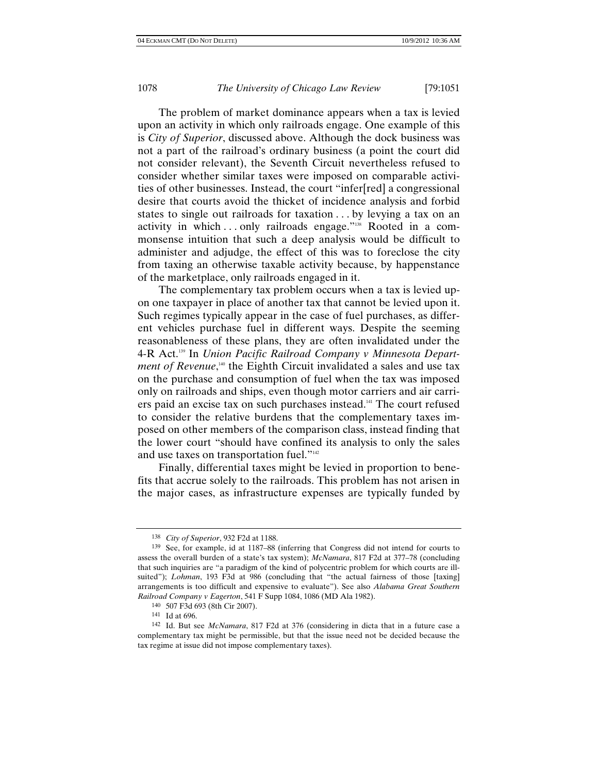The problem of market dominance appears when a tax is levied upon an activity in which only railroads engage. One example of this is *City of Superior*, discussed above. Although the dock business was not a part of the railroad's ordinary business (a point the court did not consider relevant), the Seventh Circuit nevertheless refused to consider whether similar taxes were imposed on comparable activities of other businesses. Instead, the court "infer[red] a congressional desire that courts avoid the thicket of incidence analysis and forbid states to single out railroads for taxation . . . by levying a tax on an activity in which ... only railroads engage."<sup>138</sup> Rooted in a commonsense intuition that such a deep analysis would be difficult to administer and adjudge, the effect of this was to foreclose the city from taxing an otherwise taxable activity because, by happenstance of the marketplace, only railroads engaged in it.

The complementary tax problem occurs when a tax is levied upon one taxpayer in place of another tax that cannot be levied upon it. Such regimes typically appear in the case of fuel purchases, as different vehicles purchase fuel in different ways. Despite the seeming reasonableness of these plans, they are often invalidated under the 4-R Act.139 In *Union Pacific Railroad Company v Minnesota Department of Revenue*,<sup>140</sup> the Eighth Circuit invalidated a sales and use tax on the purchase and consumption of fuel when the tax was imposed only on railroads and ships, even though motor carriers and air carriers paid an excise tax on such purchases instead.141 The court refused to consider the relative burdens that the complementary taxes imposed on other members of the comparison class, instead finding that the lower court "should have confined its analysis to only the sales and use taxes on transportation fuel."142

Finally, differential taxes might be levied in proportion to benefits that accrue solely to the railroads. This problem has not arisen in the major cases, as infrastructure expenses are typically funded by

<sup>138</sup> *City of Superior*, 932 F2d at 1188.

<sup>139</sup> See, for example, id at 1187–88 (inferring that Congress did not intend for courts to assess the overall burden of a state's tax system); *McNamara*, 817 F2d at 377–78 (concluding that such inquiries are "a paradigm of the kind of polycentric problem for which courts are illsuited"); *Lohman*, 193 F3d at 986 (concluding that "the actual fairness of those [taxing] arrangements is too difficult and expensive to evaluate"). See also *Alabama Great Southern Railroad Company v Eagerton*, 541 F Supp 1084, 1086 (MD Ala 1982).

<sup>140 507</sup> F3d 693 (8th Cir 2007). 141 Id at 696.

<sup>142</sup> Id. But see *McNamara*, 817 F2d at 376 (considering in dicta that in a future case a complementary tax might be permissible, but that the issue need not be decided because the tax regime at issue did not impose complementary taxes).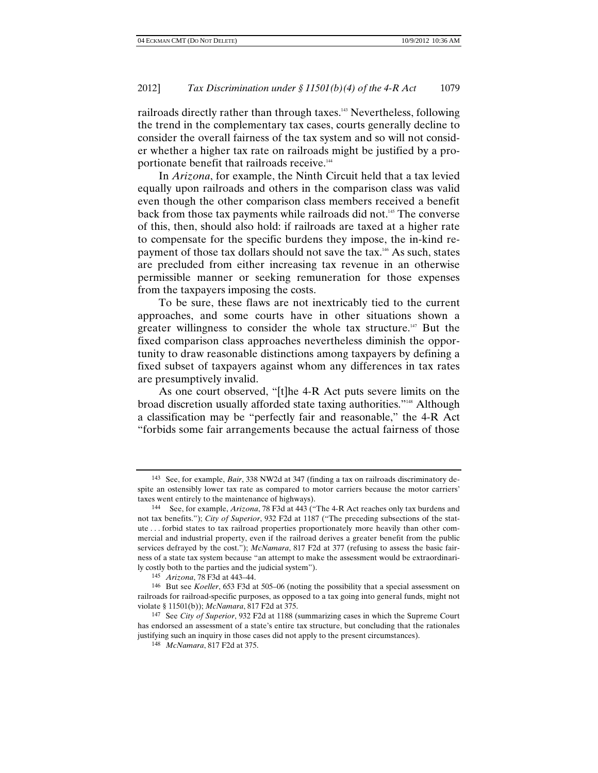railroads directly rather than through taxes.<sup>143</sup> Nevertheless, following the trend in the complementary tax cases, courts generally decline to consider the overall fairness of the tax system and so will not consider whether a higher tax rate on railroads might be justified by a proportionate benefit that railroads receive.<sup>144</sup>

In *Arizona*, for example, the Ninth Circuit held that a tax levied equally upon railroads and others in the comparison class was valid even though the other comparison class members received a benefit back from those tax payments while railroads did not.<sup>145</sup> The converse of this, then, should also hold: if railroads are taxed at a higher rate to compensate for the specific burdens they impose, the in-kind repayment of those tax dollars should not save the tax.<sup>146</sup> As such, states are precluded from either increasing tax revenue in an otherwise permissible manner or seeking remuneration for those expenses from the taxpayers imposing the costs.

To be sure, these flaws are not inextricably tied to the current approaches, and some courts have in other situations shown a greater willingness to consider the whole tax structure.<sup>147</sup> But the fixed comparison class approaches nevertheless diminish the opportunity to draw reasonable distinctions among taxpayers by defining a fixed subset of taxpayers against whom any differences in tax rates are presumptively invalid.

As one court observed, "[t]he 4-R Act puts severe limits on the broad discretion usually afforded state taxing authorities."148 Although a classification may be "perfectly fair and reasonable," the 4-R Act "forbids some fair arrangements because the actual fairness of those

<sup>143</sup> See, for example, *Bair*, 338 NW2d at 347 (finding a tax on railroads discriminatory despite an ostensibly lower tax rate as compared to motor carriers because the motor carriers' taxes went entirely to the maintenance of highways).

<sup>144</sup> See, for example, *Arizona*, 78 F3d at 443 ("The 4-R Act reaches only tax burdens and not tax benefits."); *City of Superior*, 932 F2d at 1187 ("The preceding subsections of the statute . . . forbid states to tax railroad properties proportionately more heavily than other commercial and industrial property, even if the railroad derives a greater benefit from the public services defrayed by the cost."); *McNamara*, 817 F2d at 377 (refusing to assess the basic fairness of a state tax system because "an attempt to make the assessment would be extraordinarily costly both to the parties and the judicial system").

<sup>&</sup>lt;sup>145</sup> *Arizona*, 78 F3d at 443–44.<br><sup>146</sup> But see *Koeller*, 653 F3d at 505–06 (noting the possibility that a special assessment on railroads for railroad-specific purposes, as opposed to a tax going into general funds, might not violate § 11501(b)); *McNamara*, 817 F2d at 375.

<sup>147</sup> See *City of Superior*, 932 F2d at 1188 (summarizing cases in which the Supreme Court has endorsed an assessment of a state's entire tax structure, but concluding that the rationales justifying such an inquiry in those cases did not apply to the present circumstances).

<sup>148</sup> *McNamara*, 817 F2d at 375.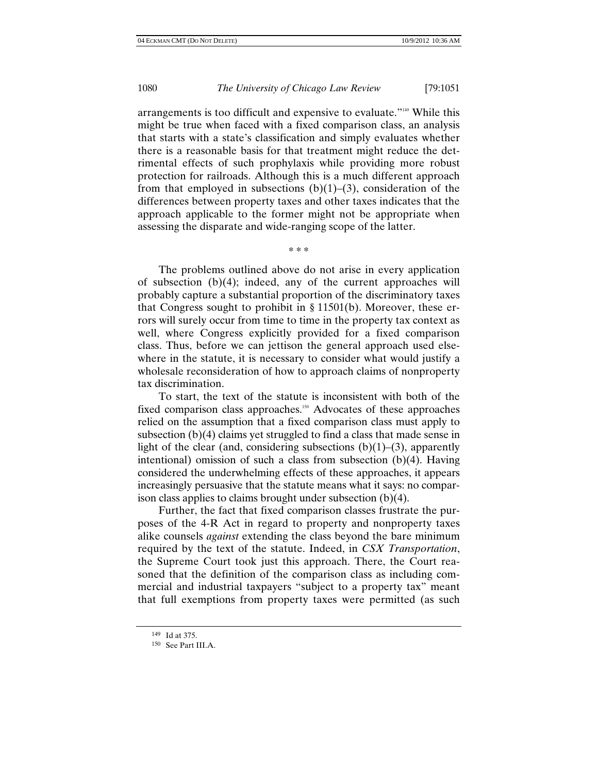arrangements is too difficult and expensive to evaluate."149 While this might be true when faced with a fixed comparison class, an analysis that starts with a state's classification and simply evaluates whether there is a reasonable basis for that treatment might reduce the detrimental effects of such prophylaxis while providing more robust protection for railroads. Although this is a much different approach from that employed in subsections  $(b)(1)-(3)$ , consideration of the differences between property taxes and other taxes indicates that the approach applicable to the former might not be appropriate when assessing the disparate and wide-ranging scope of the latter.

\* \* \*

The problems outlined above do not arise in every application of subsection (b)(4); indeed, any of the current approaches will probably capture a substantial proportion of the discriminatory taxes that Congress sought to prohibit in § 11501(b). Moreover, these errors will surely occur from time to time in the property tax context as well, where Congress explicitly provided for a fixed comparison class. Thus, before we can jettison the general approach used elsewhere in the statute, it is necessary to consider what would justify a wholesale reconsideration of how to approach claims of nonproperty tax discrimination.

To start, the text of the statute is inconsistent with both of the fixed comparison class approaches.<sup>150</sup> Advocates of these approaches relied on the assumption that a fixed comparison class must apply to subsection (b)(4) claims yet struggled to find a class that made sense in light of the clear (and, considering subsections  $(b)(1)$ –(3), apparently intentional) omission of such a class from subsection (b)(4). Having considered the underwhelming effects of these approaches, it appears increasingly persuasive that the statute means what it says: no comparison class applies to claims brought under subsection (b)(4).

Further, the fact that fixed comparison classes frustrate the purposes of the 4-R Act in regard to property and nonproperty taxes alike counsels *against* extending the class beyond the bare minimum required by the text of the statute. Indeed, in *CSX Transportation*, the Supreme Court took just this approach. There, the Court reasoned that the definition of the comparison class as including commercial and industrial taxpayers "subject to a property tax" meant that full exemptions from property taxes were permitted (as such

<sup>&</sup>lt;sup>149</sup> Id at 375.<br><sup>150</sup> See Part III.A.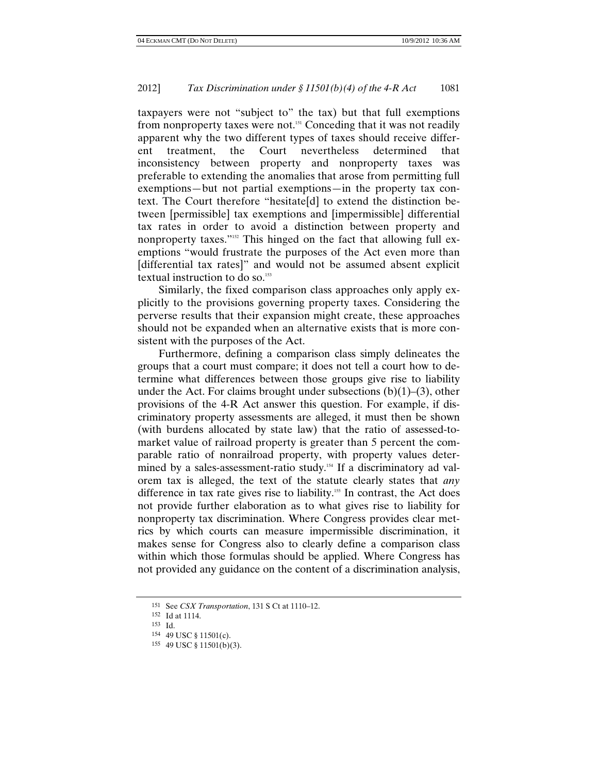taxpayers were not "subject to" the tax) but that full exemptions from nonproperty taxes were not.<sup>151</sup> Conceding that it was not readily apparent why the two different types of taxes should receive different treatment, the Court nevertheless determined that inconsistency between property and nonproperty taxes was preferable to extending the anomalies that arose from permitting full exemptions—but not partial exemptions—in the property tax context. The Court therefore "hesitate[d] to extend the distinction between [permissible] tax exemptions and [impermissible] differential tax rates in order to avoid a distinction between property and nonproperty taxes."152 This hinged on the fact that allowing full exemptions "would frustrate the purposes of the Act even more than [differential tax rates]" and would not be assumed absent explicit textual instruction to do so.<sup>153</sup>

Similarly, the fixed comparison class approaches only apply explicitly to the provisions governing property taxes. Considering the perverse results that their expansion might create, these approaches should not be expanded when an alternative exists that is more consistent with the purposes of the Act.

Furthermore, defining a comparison class simply delineates the groups that a court must compare; it does not tell a court how to determine what differences between those groups give rise to liability under the Act. For claims brought under subsections  $(b)(1)$ –(3), other provisions of the 4-R Act answer this question. For example, if discriminatory property assessments are alleged, it must then be shown (with burdens allocated by state law) that the ratio of assessed-tomarket value of railroad property is greater than 5 percent the comparable ratio of nonrailroad property, with property values determined by a sales-assessment-ratio study.<sup>154</sup> If a discriminatory ad valorem tax is alleged, the text of the statute clearly states that *any* difference in tax rate gives rise to liability.<sup>155</sup> In contrast, the Act does not provide further elaboration as to what gives rise to liability for nonproperty tax discrimination. Where Congress provides clear metrics by which courts can measure impermissible discrimination, it makes sense for Congress also to clearly define a comparison class within which those formulas should be applied. Where Congress has not provided any guidance on the content of a discrimination analysis,

<sup>151</sup> See *CSX Transportation*, 131 S Ct at 1110–12. 152 Id at 1114.

<sup>153</sup> Id.<br>154 49 USC § 11501(c).

<sup>155 49</sup> USC  $\S$  11501(b)(3).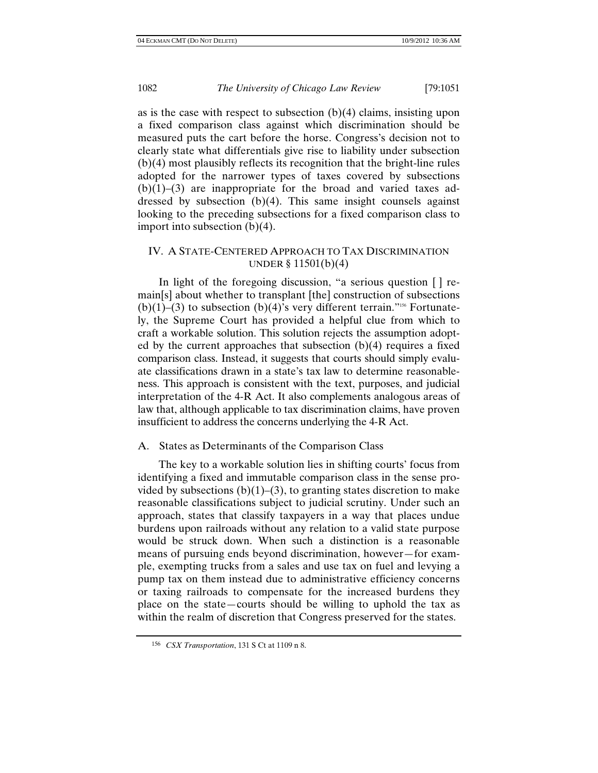as is the case with respect to subsection  $(b)(4)$  claims, insisting upon a fixed comparison class against which discrimination should be measured puts the cart before the horse. Congress's decision not to clearly state what differentials give rise to liability under subsection (b)(4) most plausibly reflects its recognition that the bright-line rules adopted for the narrower types of taxes covered by subsections  $(b)(1)$ –(3) are inappropriate for the broad and varied taxes addressed by subsection (b)(4). This same insight counsels against looking to the preceding subsections for a fixed comparison class to import into subsection (b)(4).

# IV. A STATE-CENTERED APPROACH TO TAX DISCRIMINATION UNDER § 11501(b)(4)

In light of the foregoing discussion, "a serious question [ ] remain[s] about whether to transplant [the] construction of subsections  $(b)(1)$ –(3) to subsection  $(b)(4)$ 's very different terrain."<sup>156</sup> Fortunately, the Supreme Court has provided a helpful clue from which to craft a workable solution. This solution rejects the assumption adopted by the current approaches that subsection  $(b)(4)$  requires a fixed comparison class. Instead, it suggests that courts should simply evaluate classifications drawn in a state's tax law to determine reasonableness. This approach is consistent with the text, purposes, and judicial interpretation of the 4-R Act. It also complements analogous areas of law that, although applicable to tax discrimination claims, have proven insufficient to address the concerns underlying the 4-R Act.

#### A. States as Determinants of the Comparison Class

The key to a workable solution lies in shifting courts' focus from identifying a fixed and immutable comparison class in the sense provided by subsections  $(b)(1)-(3)$ , to granting states discretion to make reasonable classifications subject to judicial scrutiny. Under such an approach, states that classify taxpayers in a way that places undue burdens upon railroads without any relation to a valid state purpose would be struck down. When such a distinction is a reasonable means of pursuing ends beyond discrimination, however—for example, exempting trucks from a sales and use tax on fuel and levying a pump tax on them instead due to administrative efficiency concerns or taxing railroads to compensate for the increased burdens they place on the state—courts should be willing to uphold the tax as within the realm of discretion that Congress preserved for the states.

<sup>156</sup> *CSX Transportation*, 131 S Ct at 1109 n 8.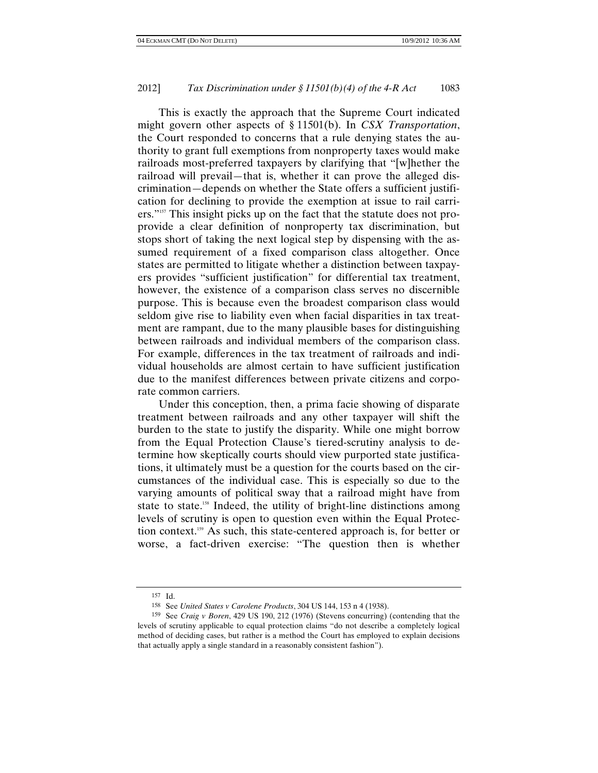This is exactly the approach that the Supreme Court indicated might govern other aspects of § 11501(b). In *CSX Transportation*, the Court responded to concerns that a rule denying states the authority to grant full exemptions from nonproperty taxes would make railroads most-preferred taxpayers by clarifying that "[w]hether the railroad will prevail—that is, whether it can prove the alleged discrimination—depends on whether the State offers a sufficient justification for declining to provide the exemption at issue to rail carriers."<sup>157</sup> This insight picks up on the fact that the statute does not proprovide a clear definition of nonproperty tax discrimination, but stops short of taking the next logical step by dispensing with the assumed requirement of a fixed comparison class altogether. Once states are permitted to litigate whether a distinction between taxpayers provides "sufficient justification" for differential tax treatment, however, the existence of a comparison class serves no discernible purpose. This is because even the broadest comparison class would seldom give rise to liability even when facial disparities in tax treatment are rampant, due to the many plausible bases for distinguishing between railroads and individual members of the comparison class. For example, differences in the tax treatment of railroads and individual households are almost certain to have sufficient justification due to the manifest differences between private citizens and corporate common carriers.

Under this conception, then, a prima facie showing of disparate treatment between railroads and any other taxpayer will shift the burden to the state to justify the disparity. While one might borrow from the Equal Protection Clause's tiered-scrutiny analysis to determine how skeptically courts should view purported state justifications, it ultimately must be a question for the courts based on the circumstances of the individual case. This is especially so due to the varying amounts of political sway that a railroad might have from state to state.<sup>158</sup> Indeed, the utility of bright-line distinctions among levels of scrutiny is open to question even within the Equal Protection context.159 As such, this state-centered approach is, for better or worse, a fact-driven exercise: "The question then is whether

<sup>157</sup> Id.<br>158 See United States v Carolene Products, 304 US 144, 153 n 4 (1938).

<sup>158</sup> See *United States v Carolene Products*, 304 US 144, 153 n 4 (1938). 159 See *Craig v Boren*, 429 US 190, 212 (1976) (Stevens concurring) (contending that the levels of scrutiny applicable to equal protection claims "do not describe a completely logical method of deciding cases, but rather is a method the Court has employed to explain decisions that actually apply a single standard in a reasonably consistent fashion").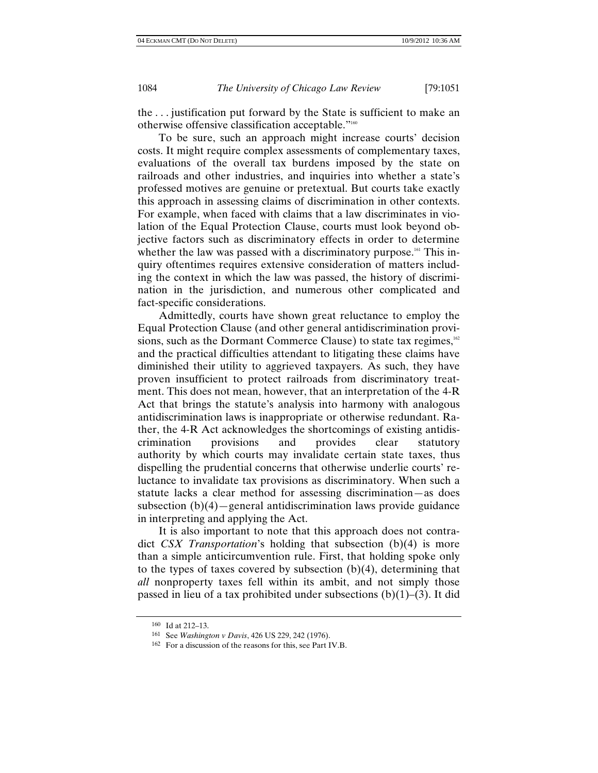the . . . justification put forward by the State is sufficient to make an otherwise offensive classification acceptable."160

To be sure, such an approach might increase courts' decision costs. It might require complex assessments of complementary taxes, evaluations of the overall tax burdens imposed by the state on railroads and other industries, and inquiries into whether a state's professed motives are genuine or pretextual. But courts take exactly this approach in assessing claims of discrimination in other contexts. For example, when faced with claims that a law discriminates in violation of the Equal Protection Clause, courts must look beyond objective factors such as discriminatory effects in order to determine whether the law was passed with a discriminatory purpose.<sup>161</sup> This inquiry oftentimes requires extensive consideration of matters including the context in which the law was passed, the history of discrimination in the jurisdiction, and numerous other complicated and fact-specific considerations.

Admittedly, courts have shown great reluctance to employ the Equal Protection Clause (and other general antidiscrimination provisions, such as the Dormant Commerce Clause) to state tax regimes,  $162$ and the practical difficulties attendant to litigating these claims have diminished their utility to aggrieved taxpayers. As such, they have proven insufficient to protect railroads from discriminatory treatment. This does not mean, however, that an interpretation of the 4-R Act that brings the statute's analysis into harmony with analogous antidiscrimination laws is inappropriate or otherwise redundant. Rather, the 4-R Act acknowledges the shortcomings of existing antidiscrimination provisions and provides clear statutory authority by which courts may invalidate certain state taxes, thus dispelling the prudential concerns that otherwise underlie courts' reluctance to invalidate tax provisions as discriminatory. When such a statute lacks a clear method for assessing discrimination—as does subsection  $(b)(4)$ —general antidiscrimination laws provide guidance in interpreting and applying the Act.

It is also important to note that this approach does not contradict *CSX Transportation*'s holding that subsection (b)(4) is more than a simple anticircumvention rule. First, that holding spoke only to the types of taxes covered by subsection  $(b)(4)$ , determining that *all* nonproperty taxes fell within its ambit, and not simply those passed in lieu of a tax prohibited under subsections  $(b)(1)$ –(3). It did

<sup>&</sup>lt;sup>160</sup> Id at 212–13.<br><sup>161</sup> See Washington v Davis, 426 US 229, 242 (1976).

<sup>&</sup>lt;sup>162</sup> For a discussion of the reasons for this, see Part IV.B.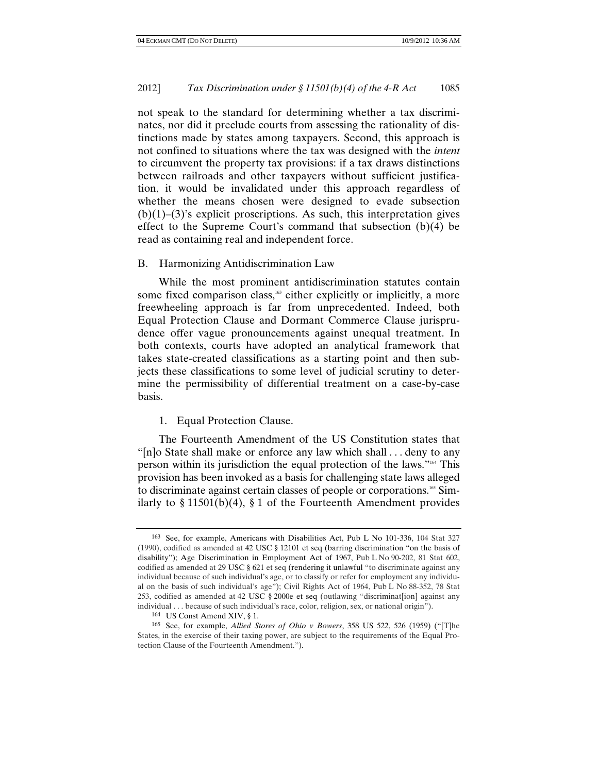not speak to the standard for determining whether a tax discriminates, nor did it preclude courts from assessing the rationality of distinctions made by states among taxpayers. Second, this approach is not confined to situations where the tax was designed with the *intent* to circumvent the property tax provisions: if a tax draws distinctions between railroads and other taxpayers without sufficient justification, it would be invalidated under this approach regardless of whether the means chosen were designed to evade subsection  $(b)(1)$ – $(3)$ 's explicit proscriptions. As such, this interpretation gives effect to the Supreme Court's command that subsection (b)(4) be read as containing real and independent force.

### B. Harmonizing Antidiscrimination Law

While the most prominent antidiscrimination statutes contain some fixed comparison class, $163$  either explicitly or implicitly, a more freewheeling approach is far from unprecedented. Indeed, both Equal Protection Clause and Dormant Commerce Clause jurisprudence offer vague pronouncements against unequal treatment. In both contexts, courts have adopted an analytical framework that takes state-created classifications as a starting point and then subjects these classifications to some level of judicial scrutiny to determine the permissibility of differential treatment on a case-by-case basis.

### 1. Equal Protection Clause.

The Fourteenth Amendment of the US Constitution states that "[n]o State shall make or enforce any law which shall . . . deny to any person within its jurisdiction the equal protection of the laws."164 This provision has been invoked as a basis for challenging state laws alleged to discriminate against certain classes of people or corporations.165 Similarly to  $\S 11501(b)(4)$ ,  $\S 1$  of the Fourteenth Amendment provides

<sup>163</sup> See, for example, Americans with Disabilities Act, Pub L No 101-336, 104 Stat 327 (1990), codified as amended at 42 USC § 12101 et seq (barring discrimination "on the basis of disability"); Age Discrimination in Employment Act of 1967, Pub L No 90-202, 81 Stat 602, codified as amended at 29 USC § 621 et seq (rendering it unlawful "to discriminate against any individual because of such individual's age, or to classify or refer for employment any individual on the basis of such individual's age"); Civil Rights Act of 1964, Pub L No 88-352, 78 Stat 253, codified as amended at 42 USC § 2000e et seq (outlawing "discriminat[ion] against any individual . . . because of such individual's race, color, religion, sex, or national origin").

<sup>164</sup> US Const Amend XIV, § 1.

<sup>165</sup> See, for example, *Allied Stores of Ohio v Bowers*, 358 US 522, 526 (1959) ("[T]he States, in the exercise of their taxing power, are subject to the requirements of the Equal Protection Clause of the Fourteenth Amendment.").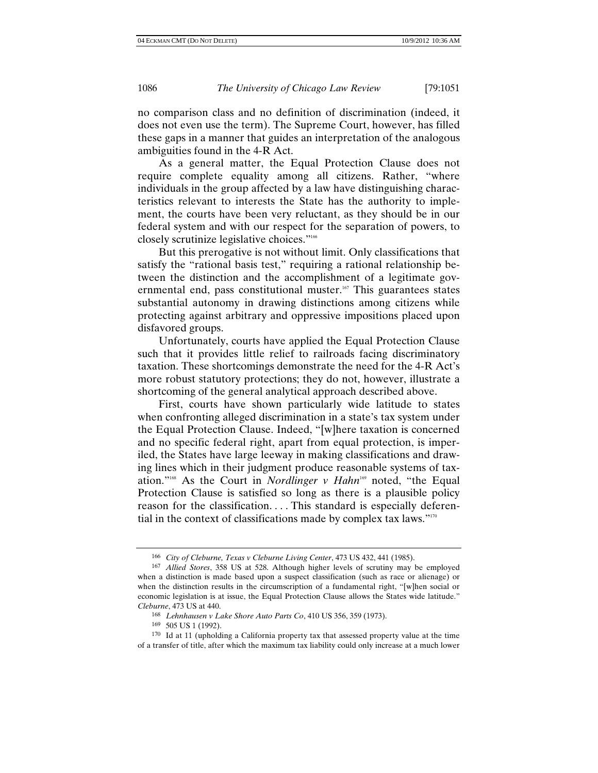no comparison class and no definition of discrimination (indeed, it does not even use the term). The Supreme Court, however, has filled these gaps in a manner that guides an interpretation of the analogous ambiguities found in the 4-R Act.

As a general matter, the Equal Protection Clause does not require complete equality among all citizens. Rather, "where individuals in the group affected by a law have distinguishing characteristics relevant to interests the State has the authority to implement, the courts have been very reluctant, as they should be in our federal system and with our respect for the separation of powers, to closely scrutinize legislative choices."166

But this prerogative is not without limit. Only classifications that satisfy the "rational basis test," requiring a rational relationship between the distinction and the accomplishment of a legitimate governmental end, pass constitutional muster.<sup>167</sup> This guarantees states substantial autonomy in drawing distinctions among citizens while protecting against arbitrary and oppressive impositions placed upon disfavored groups.

Unfortunately, courts have applied the Equal Protection Clause such that it provides little relief to railroads facing discriminatory taxation. These shortcomings demonstrate the need for the 4-R Act's more robust statutory protections; they do not, however, illustrate a shortcoming of the general analytical approach described above.

First, courts have shown particularly wide latitude to states when confronting alleged discrimination in a state's tax system under the Equal Protection Clause. Indeed, "[w]here taxation is concerned and no specific federal right, apart from equal protection, is imperiled, the States have large leeway in making classifications and drawing lines which in their judgment produce reasonable systems of taxation."168 As the Court in *Nordlinger v Hahn*169 noted, "the Equal Protection Clause is satisfied so long as there is a plausible policy reason for the classification. . . . This standard is especially deferential in the context of classifications made by complex tax laws."170

<sup>166</sup> *City of Cleburne, Texas v Cleburne Living Center*, 473 US 432, 441 (1985).

<sup>167</sup> *Allied Stores*, 358 US at 528. Although higher levels of scrutiny may be employed when a distinction is made based upon a suspect classification (such as race or alienage) or when the distinction results in the circumscription of a fundamental right, "[w]hen social or economic legislation is at issue, the Equal Protection Clause allows the States wide latitude." *Cleburne*, 473 US at 440.

<sup>168</sup> *Lehnhausen v Lake Shore Auto Parts Co*, 410 US 356, 359 (1973).

<sup>169 505</sup> US 1 (1992).

<sup>170</sup> Id at 11 (upholding a California property tax that assessed property value at the time of a transfer of title, after which the maximum tax liability could only increase at a much lower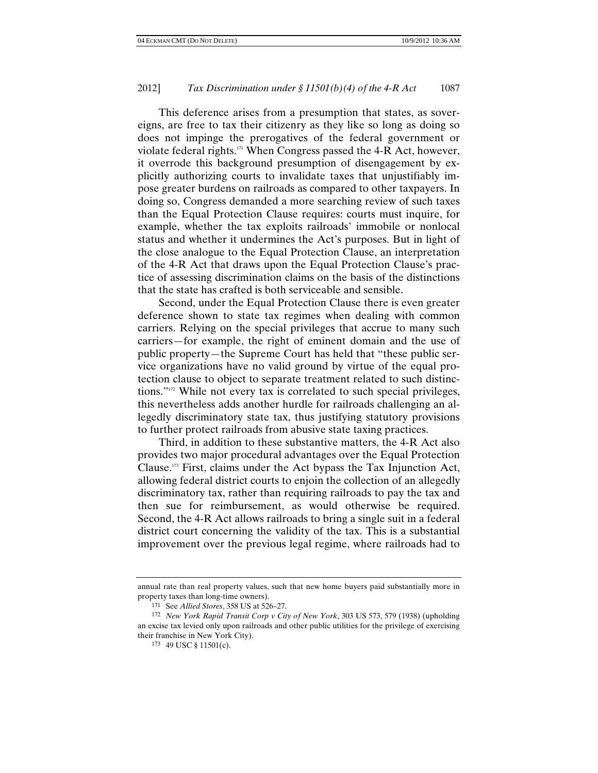This deference arises from a presumption that states, as sovereigns, are free to tax their citizenry as they like so long as doing so does not impinge the prerogatives of the federal government or violate federal rights. $171$  When Congress passed the 4-R Act, however, it overrode this background presumption of disengagement by explicitly authorizing courts to invalidate taxes that unjustifiably impose greater burdens on railroads as compared to other taxpayers. In doing so, Congress demanded a more searching review of such taxes than the Equal Protection Clause requires: courts must inquire, for example, whether the tax exploits railroads' immobile or nonlocal status and whether it undermines the Act's purposes. But in light of the close analogue to the Equal Protection Clause, an interpretation of the 4-R Act that draws upon the Equal Protection Clause's practice of assessing discrimination claims on the basis of the distinctions that the state has crafted is both serviceable and sensible.

Second, under the Equal Protection Clause there is even greater deference shown to state tax regimes when dealing with common carriers. Relying on the special privileges that accrue to many such carriers—for example, the right of eminent domain and the use of public property—the Supreme Court has held that "these public service organizations have no valid ground by virtue of the equal protection clause to object to separate treatment related to such distinctions."172 While not every tax is correlated to such special privileges, this nevertheless adds another hurdle for railroads challenging an allegedly discriminatory state tax, thus justifying statutory provisions to further protect railroads from abusive state taxing practices.

Third, in addition to these substantive matters, the 4-R Act also provides two major procedural advantages over the Equal Protection Clause.173 First, claims under the Act bypass the Tax Injunction Act, allowing federal district courts to enjoin the collection of an allegedly discriminatory tax, rather than requiring railroads to pay the tax and then sue for reimbursement, as would otherwise be required. Second, the 4-R Act allows railroads to bring a single suit in a federal district court concerning the validity of the tax. This is a substantial improvement over the previous legal regime, where railroads had to

annual rate than real property values, such that new home buyers paid substantially more in property taxes than long-time owners).<br><sup>171</sup> See *Allied Stores*, 358 US at 526–27.

<sup>171</sup> See *Allied Stores*, 358 US at 526–27. 172 *New York Rapid Transit Corp v City of New York*, 303 US 573, 579 (1938) (upholding an excise tax levied only upon railroads and other public utilities for the privilege of exercising their franchise in New York City).

<sup>173 49</sup> USC § 11501(c).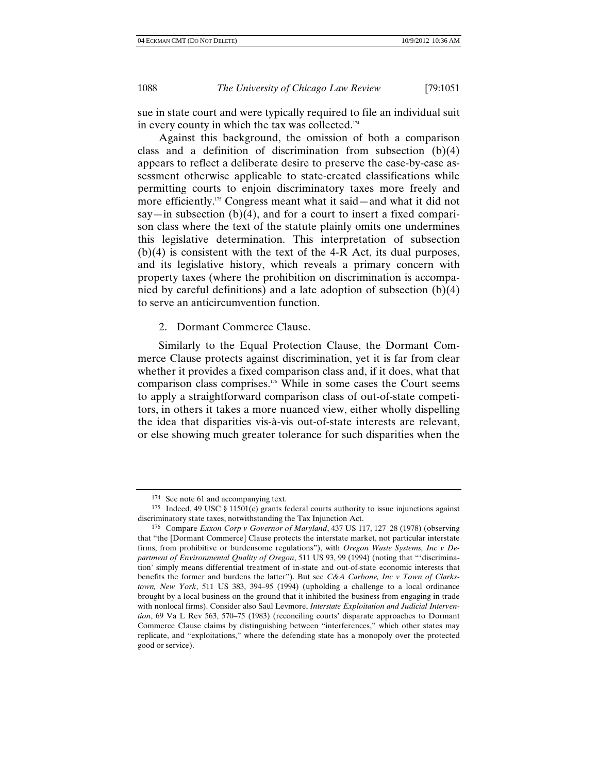sue in state court and were typically required to file an individual suit in every county in which the tax was collected.<sup>174</sup>

Against this background, the omission of both a comparison class and a definition of discrimination from subsection (b)(4) appears to reflect a deliberate desire to preserve the case-by-case assessment otherwise applicable to state-created classifications while permitting courts to enjoin discriminatory taxes more freely and more efficiently.<sup>175</sup> Congress meant what it said—and what it did not say—in subsection  $(b)(4)$ , and for a court to insert a fixed comparison class where the text of the statute plainly omits one undermines this legislative determination. This interpretation of subsection (b)(4) is consistent with the text of the 4-R Act, its dual purposes, and its legislative history, which reveals a primary concern with property taxes (where the prohibition on discrimination is accompanied by careful definitions) and a late adoption of subsection (b)(4) to serve an anticircumvention function.

2. Dormant Commerce Clause.

Similarly to the Equal Protection Clause, the Dormant Commerce Clause protects against discrimination, yet it is far from clear whether it provides a fixed comparison class and, if it does, what that comparison class comprises.176 While in some cases the Court seems to apply a straightforward comparison class of out-of-state competitors, in others it takes a more nuanced view, either wholly dispelling the idea that disparities vis-à-vis out-of-state interests are relevant, or else showing much greater tolerance for such disparities when the

<sup>174</sup> See note 61 and accompanying text.

<sup>175</sup> Indeed, 49 USC § 11501(c) grants federal courts authority to issue injunctions against discriminatory state taxes, notwithstanding the Tax Injunction Act.

<sup>176</sup> Compare *Exxon Corp v Governor of Maryland*, 437 US 117, 127–28 (1978) (observing that "the [Dormant Commerce] Clause protects the interstate market, not particular interstate firms, from prohibitive or burdensome regulations"), with *Oregon Waste Systems, Inc v Department of Environmental Quality of Oregon*, 511 US 93, 99 (1994) (noting that "'discrimination' simply means differential treatment of in-state and out-of-state economic interests that benefits the former and burdens the latter"). But see *C&A Carbone, Inc v Town of Clarkstown, New York*, 511 US 383, 394–95 (1994) (upholding a challenge to a local ordinance brought by a local business on the ground that it inhibited the business from engaging in trade with nonlocal firms). Consider also Saul Levmore, *Interstate Exploitation and Judicial Intervention*, 69 Va L Rev 563, 570–75 (1983) (reconciling courts' disparate approaches to Dormant Commerce Clause claims by distinguishing between "interferences," which other states may replicate, and "exploitations," where the defending state has a monopoly over the protected good or service).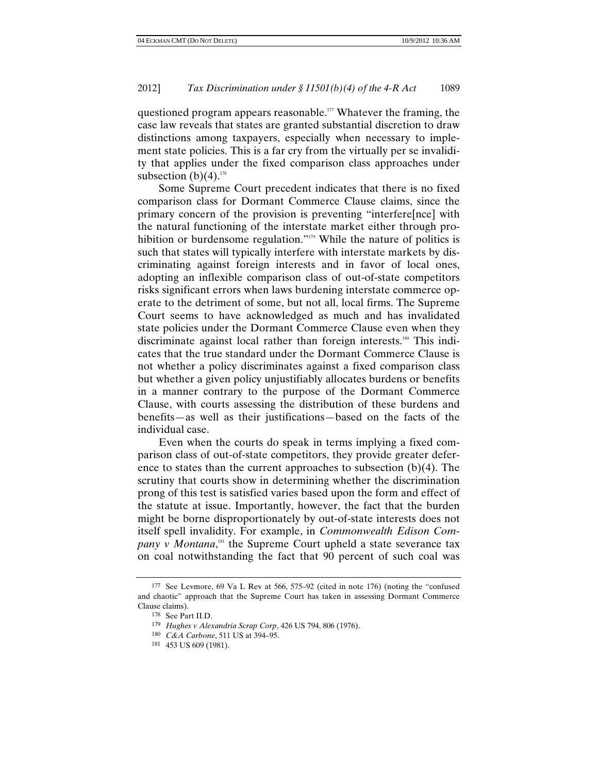questioned program appears reasonable.<sup>177</sup> Whatever the framing, the case law reveals that states are granted substantial discretion to draw distinctions among taxpayers, especially when necessary to implement state policies. This is a far cry from the virtually per se invalidity that applies under the fixed comparison class approaches under subsection  $(b)(4)$ .<sup>178</sup>

Some Supreme Court precedent indicates that there is no fixed comparison class for Dormant Commerce Clause claims, since the primary concern of the provision is preventing "interfere[nce] with the natural functioning of the interstate market either through prohibition or burdensome regulation."<sup>179</sup> While the nature of politics is such that states will typically interfere with interstate markets by discriminating against foreign interests and in favor of local ones, adopting an inflexible comparison class of out-of-state competitors risks significant errors when laws burdening interstate commerce operate to the detriment of some, but not all, local firms. The Supreme Court seems to have acknowledged as much and has invalidated state policies under the Dormant Commerce Clause even when they discriminate against local rather than foreign interests.180 This indicates that the true standard under the Dormant Commerce Clause is not whether a policy discriminates against a fixed comparison class but whether a given policy unjustifiably allocates burdens or benefits in a manner contrary to the purpose of the Dormant Commerce Clause, with courts assessing the distribution of these burdens and benefits—as well as their justifications—based on the facts of the individual case.

Even when the courts do speak in terms implying a fixed comparison class of out-of-state competitors, they provide greater deference to states than the current approaches to subsection (b)(4). The scrutiny that courts show in determining whether the discrimination prong of this test is satisfied varies based upon the form and effect of the statute at issue. Importantly, however, the fact that the burden might be borne disproportionately by out-of-state interests does not itself spell invalidity. For example, in *Commonwealth Edison Com*pany v Montana,<sup>181</sup> the Supreme Court upheld a state severance tax on coal notwithstanding the fact that 90 percent of such coal was

<sup>177</sup> See Levmore, 69 Va L Rev at 566, 575–92 (cited in note 176) (noting the "confused and chaotic" approach that the Supreme Court has taken in assessing Dormant Commerce Clause claims).

<sup>178</sup> See Part II.D.

<sup>179</sup> *Hughes v Alexandria Scrap Corp*, 426 US 794, 806 (1976).

<sup>180</sup> *C&A Carbone*, 511 US at 394–95. 181 453 US 609 (1981).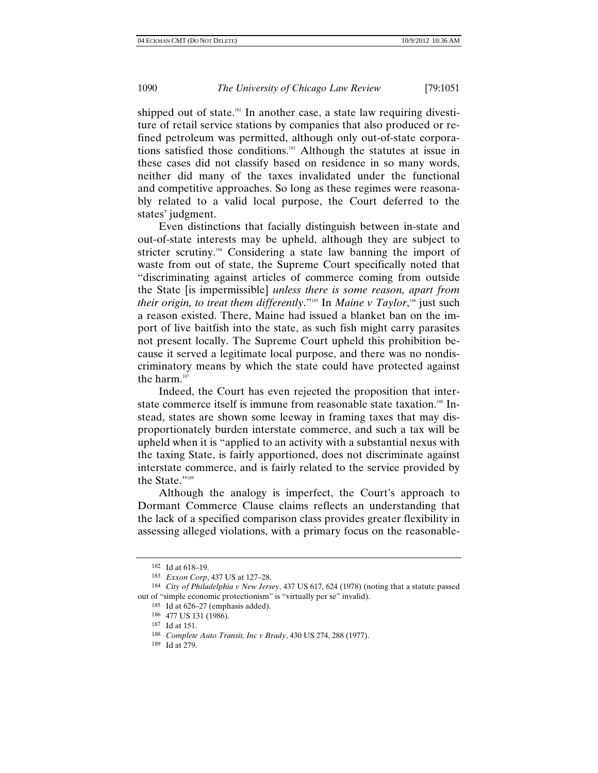shipped out of state.<sup>182</sup> In another case, a state law requiring divestiture of retail service stations by companies that also produced or refined petroleum was permitted, although only out-of-state corporations satisfied those conditions.183 Although the statutes at issue in these cases did not classify based on residence in so many words, neither did many of the taxes invalidated under the functional and competitive approaches. So long as these regimes were reasonably related to a valid local purpose, the Court deferred to the states' judgment.

Even distinctions that facially distinguish between in-state and out-of-state interests may be upheld, although they are subject to stricter scrutiny.<sup>184</sup> Considering a state law banning the import of waste from out of state, the Supreme Court specifically noted that "discriminating against articles of commerce coming from outside the State [is impermissible] *unless there is some reason, apart from their origin, to treat them differently*."<sup>185</sup> In *Maine v Taylor*,<sup>186</sup> just such a reason existed. There, Maine had issued a blanket ban on the import of live baitfish into the state, as such fish might carry parasites not present locally. The Supreme Court upheld this prohibition because it served a legitimate local purpose, and there was no nondiscriminatory means by which the state could have protected against the harm.<sup>187</sup>

Indeed, the Court has even rejected the proposition that interstate commerce itself is immune from reasonable state taxation.<sup>188</sup> Instead, states are shown some leeway in framing taxes that may disproportionately burden interstate commerce, and such a tax will be upheld when it is "applied to an activity with a substantial nexus with the taxing State, is fairly apportioned, does not discriminate against interstate commerce, and is fairly related to the service provided by the State."<sup>189</sup>

Although the analogy is imperfect, the Court's approach to Dormant Commerce Clause claims reflects an understanding that the lack of a specified comparison class provides greater flexibility in assessing alleged violations, with a primary focus on the reasonable-

<sup>182</sup> Id at  $618-19$ .<br>
183 Exxon Corp, 437 US at 127-28.

<sup>&</sup>lt;sup>184</sup> *City of Philadelphia v New Jersey,* 437 US 617, 624 (1978) (noting that a statute passed out of "simple economic protectionism" is "virtually per se" invalid).

<sup>185</sup> Id at 626–27 (emphasis added).

<sup>186 477</sup> US 131 (1986).

<sup>187</sup> Id at 151.

<sup>188</sup> *Complete Auto Transit, Inc v Brady*, 430 US 274, 288 (1977). 189 Id at 279.